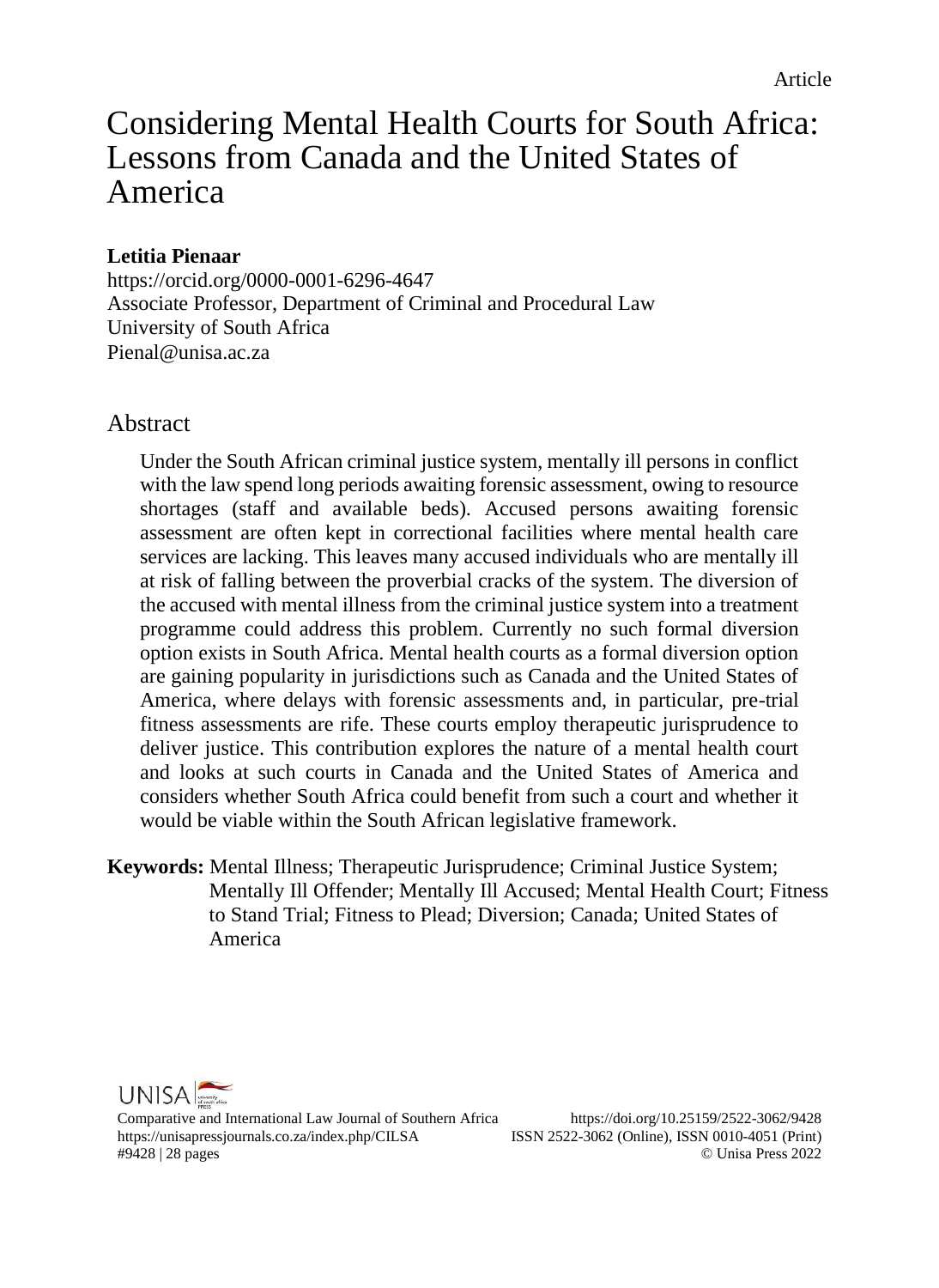# Considering Mental Health Courts for South Africa: Lessons from Canada and the United States of America

## **Letitia Pienaar**

<https://orcid.org/0000-0001-6296-4647> Associate Professor, Department of Criminal and Procedural Law University of South Africa Pienal@unisa ac.za

## Abstract

Under the South African criminal justice system, mentally ill persons in conflict with the law spend long periods awaiting forensic assessment, owing to resource shortages (staff and available beds). Accused persons awaiting forensic assessment are often kept in correctional facilities where mental health care services are lacking. This leaves many accused individuals who are mentally ill at risk of falling between the proverbial cracks of the system. The diversion of the accused with mental illness from the criminal justice system into a treatment programme could address this problem. Currently no such formal diversion option exists in South Africa. Mental health courts as a formal diversion option are gaining popularity in jurisdictions such as Canada and the United States of America, where delays with forensic assessments and, in particular, pre-trial fitness assessments are rife. These courts employ therapeutic jurisprudence to deliver justice. This contribution explores the nature of a mental health court and looks at such courts in Canada and the United States of America and considers whether South Africa could benefit from such a court and whether it would be viable within the South African legislative framework.

**Keywords:** Mental Illness; Therapeutic Jurisprudence; Criminal Justice System; Mentally Ill Offender; Mentally Ill Accused; Mental Health Court; Fitness to Stand Trial; Fitness to Plead; Diversion; Canada; United States of America



Comparative and International Law Journal of Southern Africa https://doi.org/10.25159/2522-3062/9428 https://unisapressjournals.co.za/index.php/CILSA ISSN 2522-3062 (Online), ISSN 0010-4051 (Print) #9428 | 28 pages © Unisa Press 2022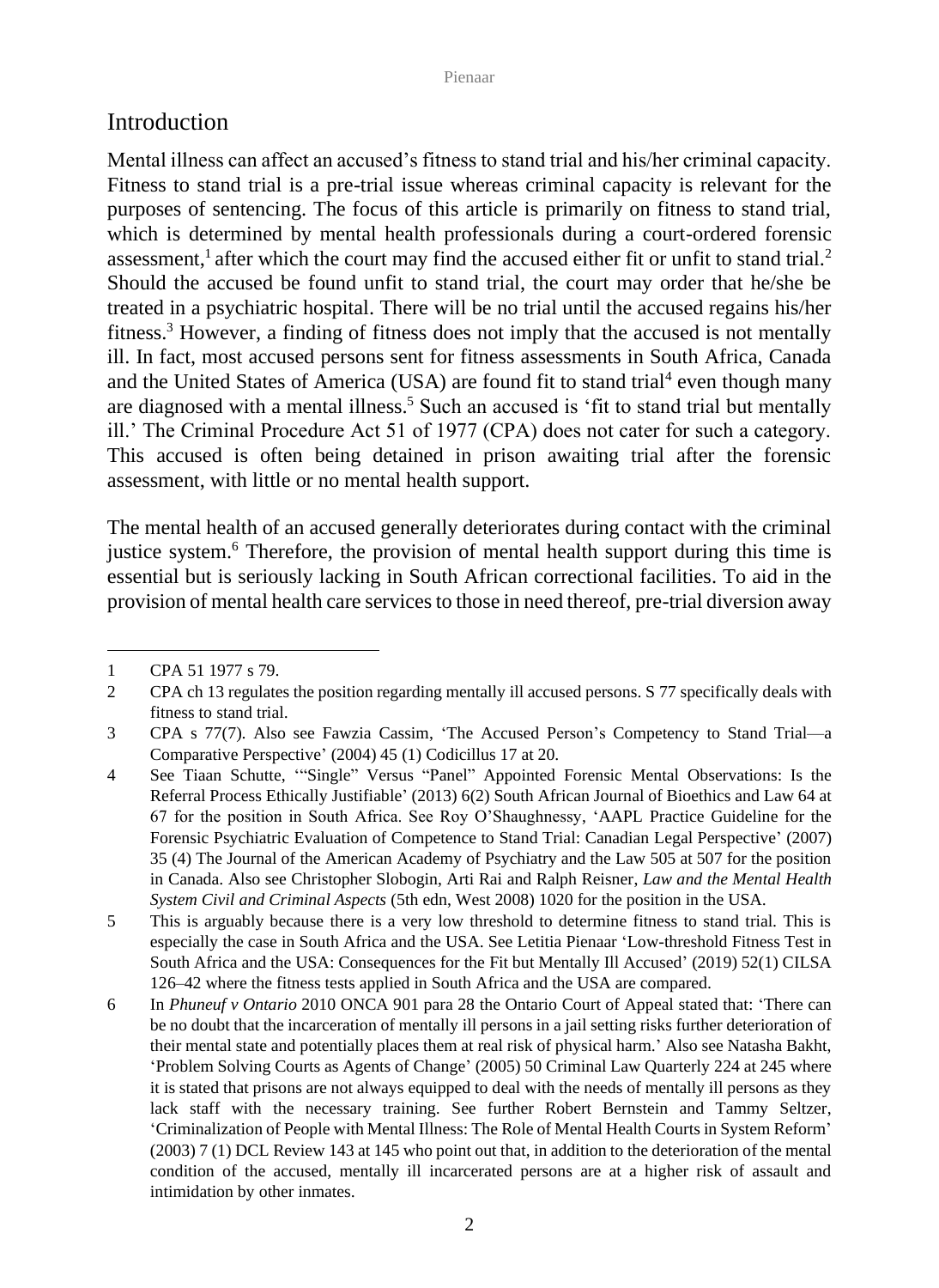## Introduction

Mental illness can affect an accused's fitness to stand trial and his/her criminal capacity. Fitness to stand trial is a pre-trial issue whereas criminal capacity is relevant for the purposes of sentencing. The focus of this article is primarily on fitness to stand trial, which is determined by mental health professionals during a court-ordered forensic assessment,<sup>1</sup> after which the court may find the accused either fit or unfit to stand trial.<sup>2</sup> Should the accused be found unfit to stand trial, the court may order that he/she be treated in a psychiatric hospital. There will be no trial until the accused regains his/her fitness.<sup>3</sup> However, a finding of fitness does not imply that the accused is not mentally ill. In fact, most accused persons sent for fitness assessments in South Africa, Canada and the United States of America (USA) are found fit to stand trial<sup>4</sup> even though many are diagnosed with a mental illness.<sup>5</sup> Such an accused is 'fit to stand trial but mentally ill.' The Criminal Procedure Act 51 of 1977 (CPA) does not cater for such a category. This accused is often being detained in prison awaiting trial after the forensic assessment, with little or no mental health support.

The mental health of an accused generally deteriorates during contact with the criminal justice system.<sup>6</sup> Therefore, the provision of mental health support during this time is essential but is seriously lacking in South African correctional facilities. To aid in the provision of mental health care services to those in need thereof, pre-trial diversion away

<sup>1</sup> CPA 51 1977 s 79.

<sup>2</sup> CPA ch 13 regulates the position regarding mentally ill accused persons. S 77 specifically deals with fitness to stand trial.

<sup>3</sup> CPA s 77(7). Also see Fawzia Cassim, 'The Accused Person's Competency to Stand Trial—a Comparative Perspective' (2004) 45 (1) Codicillus 17 at 20.

<sup>4</sup> See Tiaan Schutte, '"Single" Versus "Panel" Appointed Forensic Mental Observations: Is the Referral Process Ethically Justifiable' (2013) 6(2) South African Journal of Bioethics and Law 64 at 67 for the position in South Africa. See Roy O'Shaughnessy, 'AAPL Practice Guideline for the Forensic Psychiatric Evaluation of Competence to Stand Trial: Canadian Legal Perspective' (2007) 35 (4) The Journal of the American Academy of Psychiatry and the Law 505 at 507 for the position in Canada. Also see Christopher Slobogin, Arti Rai and Ralph Reisner, *Law and the Mental Health System Civil and Criminal Aspects* (5th edn, West 2008) 1020 for the position in the USA.

<sup>5</sup> This is arguably because there is a very low threshold to determine fitness to stand trial. This is especially the case in South Africa and the USA. See Letitia Pienaar 'Low-threshold Fitness Test in South Africa and the USA: Consequences for the Fit but Mentally Ill Accused' (2019) 52(1) CILSA 126–42 where the fitness tests applied in South Africa and the USA are compared.

<sup>6</sup> In *Phuneuf v Ontario* 2010 ONCA 901 para 28 the Ontario Court of Appeal stated that: 'There can be no doubt that the incarceration of mentally ill persons in a jail setting risks further deterioration of their mental state and potentially places them at real risk of physical harm.' Also see Natasha Bakht, 'Problem Solving Courts as Agents of Change' (2005) 50 Criminal Law Quarterly 224 at 245 where it is stated that prisons are not always equipped to deal with the needs of mentally ill persons as they lack staff with the necessary training. See further Robert Bernstein and Tammy Seltzer, 'Criminalization of People with Mental Illness: The Role of Mental Health Courts in System Reform' (2003) 7 (1) DCL Review 143 at 145 who point out that, in addition to the deterioration of the mental condition of the accused, mentally ill incarcerated persons are at a higher risk of assault and intimidation by other inmates.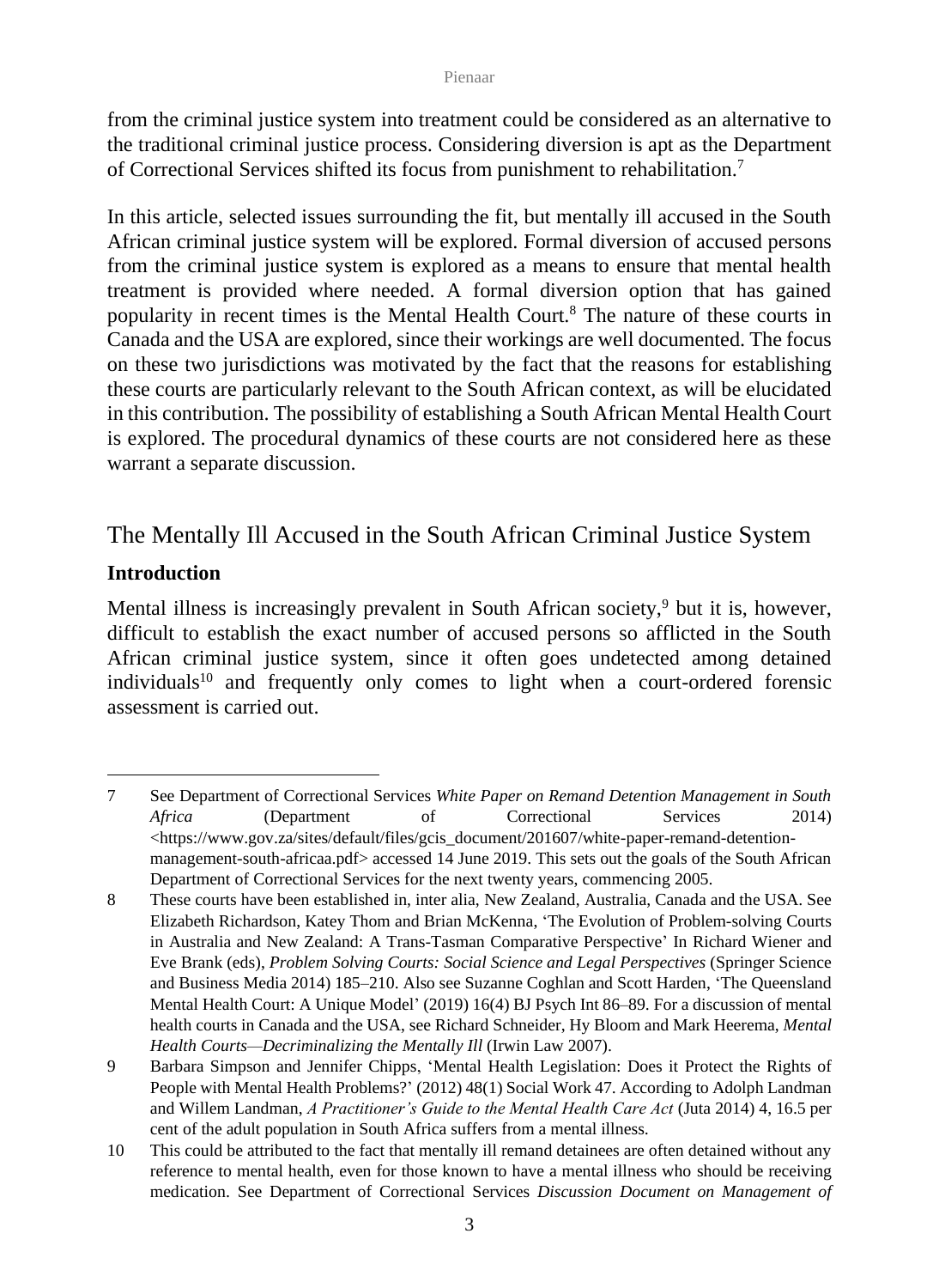from the criminal justice system into treatment could be considered as an alternative to the traditional criminal justice process. Considering diversion is apt as the Department of Correctional Services shifted its focus from punishment to rehabilitation.<sup>7</sup>

In this article, selected issues surrounding the fit, but mentally ill accused in the South African criminal justice system will be explored. Formal diversion of accused persons from the criminal justice system is explored as a means to ensure that mental health treatment is provided where needed. A formal diversion option that has gained popularity in recent times is the Mental Health Court.<sup>8</sup> The nature of these courts in Canada and the USA are explored, since their workings are well documented. The focus on these two jurisdictions was motivated by the fact that the reasons for establishing these courts are particularly relevant to the South African context, as will be elucidated in this contribution. The possibility of establishing a South African Mental Health Court is explored. The procedural dynamics of these courts are not considered here as these warrant a separate discussion.

## The Mentally Ill Accused in the South African Criminal Justice System

## **Introduction**

Mental illness is increasingly prevalent in South African society,<sup>9</sup> but it is, however, difficult to establish the exact number of accused persons so afflicted in the South African criminal justice system, since it often goes undetected among detained individuals<sup>10</sup> and frequently only comes to light when a court-ordered forensic assessment is carried out.

<sup>7</sup> See Department of Correctional Services *White Paper on Remand Detention Management in South Africa* (Department of Correctional Services 2014) [<https://www.gov.za/sites/default/files/gcis\\_document/201607/white-paper-remand-detention](https://www.gov.za/sites/default/files/gcis_document/201607/white-paper-remand-detention-management-south-africaa.pdf)[management-south-africaa.pdf>](https://www.gov.za/sites/default/files/gcis_document/201607/white-paper-remand-detention-management-south-africaa.pdf) accessed 14 June 2019. This sets out the goals of the South African Department of Correctional Services for the next twenty years, commencing 2005.

<sup>8</sup> These courts have been established in, inter alia, New Zealand, Australia, Canada and the USA. See Elizabeth Richardson, Katey Thom and Brian McKenna, 'The Evolution of Problem-solving Courts in Australia and New Zealand: A Trans-Tasman Comparative Perspective' In Richard Wiener and Eve Brank (eds), *Problem Solving Courts: Social Science and Legal Perspectives* (Springer Science and Business Media 2014) 185–210. Also see Suzanne Coghlan and Scott Harden, 'The Queensland Mental Health Court: A Unique Model' (2019) 16(4) BJ Psych Int 86–89. For a discussion of mental health courts in Canada and the USA, see Richard Schneider, Hy Bloom and Mark Heerema, *Mental Health Courts—Decriminalizing the Mentally Ill* (Irwin Law 2007).

<sup>9</sup> Barbara Simpson and Jennifer Chipps, 'Mental Health Legislation: Does it Protect the Rights of People with Mental Health Problems?' (2012) 48(1) Social Work 47. According to Adolph Landman and Willem Landman, *A Practitioner's Guide to the Mental Health Care Act* (Juta 2014) 4, 16.5 per cent of the adult population in South Africa suffers from a mental illness.

<sup>10</sup> This could be attributed to the fact that mentally ill remand detainees are often detained without any reference to mental health, even for those known to have a mental illness who should be receiving medication. See Department of Correctional Services *Discussion Document on Management of*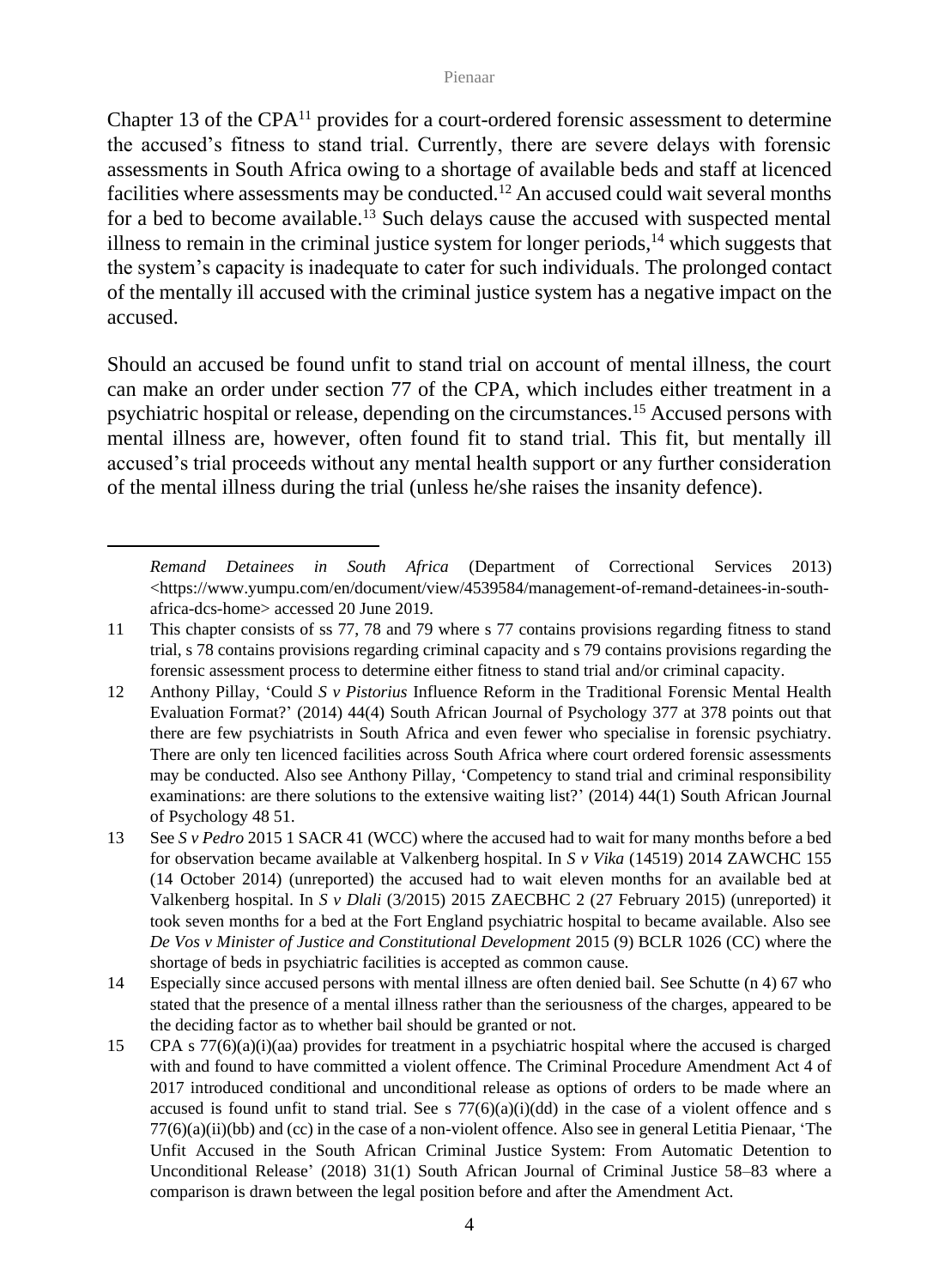Chapter 13 of the CPA<sup>11</sup> provides for a court-ordered forensic assessment to determine the accused's fitness to stand trial. Currently, there are severe delays with forensic assessments in South Africa owing to a shortage of available beds and staff at licenced facilities where assessments may be conducted.<sup>12</sup> An accused could wait several months for a bed to become available.<sup>13</sup> Such delays cause the accused with suspected mental illness to remain in the criminal justice system for longer periods, $14$  which suggests that the system's capacity is inadequate to cater for such individuals. The prolonged contact of the mentally ill accused with the criminal justice system has a negative impact on the accused.

Should an accused be found unfit to stand trial on account of mental illness, the court can make an order under section 77 of the CPA, which includes either treatment in a psychiatric hospital or release, depending on the circumstances.<sup>15</sup> Accused persons with mental illness are, however, often found fit to stand trial. This fit, but mentally ill accused's trial proceeds without any mental health support or any further consideration of the mental illness during the trial (unless he/she raises the insanity defence).

*Remand Detainees in South Africa* (Department of Correctional Services 2013) <https://www.yumpu.com/en/document/view/4539584/management-of-remand-detainees-in-southafrica-dcs-home> accessed 20 June 2019.

<sup>11</sup> This chapter consists of ss 77, 78 and 79 where s 77 contains provisions regarding fitness to stand trial, s 78 contains provisions regarding criminal capacity and s 79 contains provisions regarding the forensic assessment process to determine either fitness to stand trial and/or criminal capacity.

<sup>12</sup> Anthony Pillay, 'Could *S v Pistorius* Influence Reform in the Traditional Forensic Mental Health Evaluation Format?' (2014) 44(4) South African Journal of Psychology 377 at 378 points out that there are few psychiatrists in South Africa and even fewer who specialise in forensic psychiatry. There are only ten licenced facilities across South Africa where court ordered forensic assessments may be conducted. Also see Anthony Pillay, 'Competency to stand trial and criminal responsibility examinations: are there solutions to the extensive waiting list?' (2014) 44(1) South African Journal of Psychology 48 51.

<sup>13</sup> See *S v Pedro* 2015 1 SACR 41 (WCC) where the accused had to wait for many months before a bed for observation became available at Valkenberg hospital. In *S v Vika* (14519) 2014 ZAWCHC 155 (14 October 2014) (unreported) the accused had to wait eleven months for an available bed at Valkenberg hospital. In *S v Dlali* (3/2015) 2015 ZAECBHC 2 (27 February 2015) (unreported) it took seven months for a bed at the Fort England psychiatric hospital to became available. Also see *De Vos v Minister of Justice and Constitutional Development* 2015 (9) BCLR 1026 (CC) where the shortage of beds in psychiatric facilities is accepted as common cause.

<sup>14</sup> Especially since accused persons with mental illness are often denied bail. See Schutte (n 4) 67 who stated that the presence of a mental illness rather than the seriousness of the charges, appeared to be the deciding factor as to whether bail should be granted or not.

<sup>15</sup> CPA s 77(6)(a)(i)(aa) provides for treatment in a psychiatric hospital where the accused is charged with and found to have committed a violent offence. The Criminal Procedure Amendment Act 4 of 2017 introduced conditional and unconditional release as options of orders to be made where an accused is found unfit to stand trial. See s  $77(6)(a)(i)(dd)$  in the case of a violent offence and s 77(6)(a)(ii)(bb) and (cc) in the case of a non-violent offence. Also see in general Letitia Pienaar, 'The Unfit Accused in the South African Criminal Justice System: From Automatic Detention to Unconditional Release' (2018) 31(1) South African Journal of Criminal Justice 58–83 where a comparison is drawn between the legal position before and after the Amendment Act.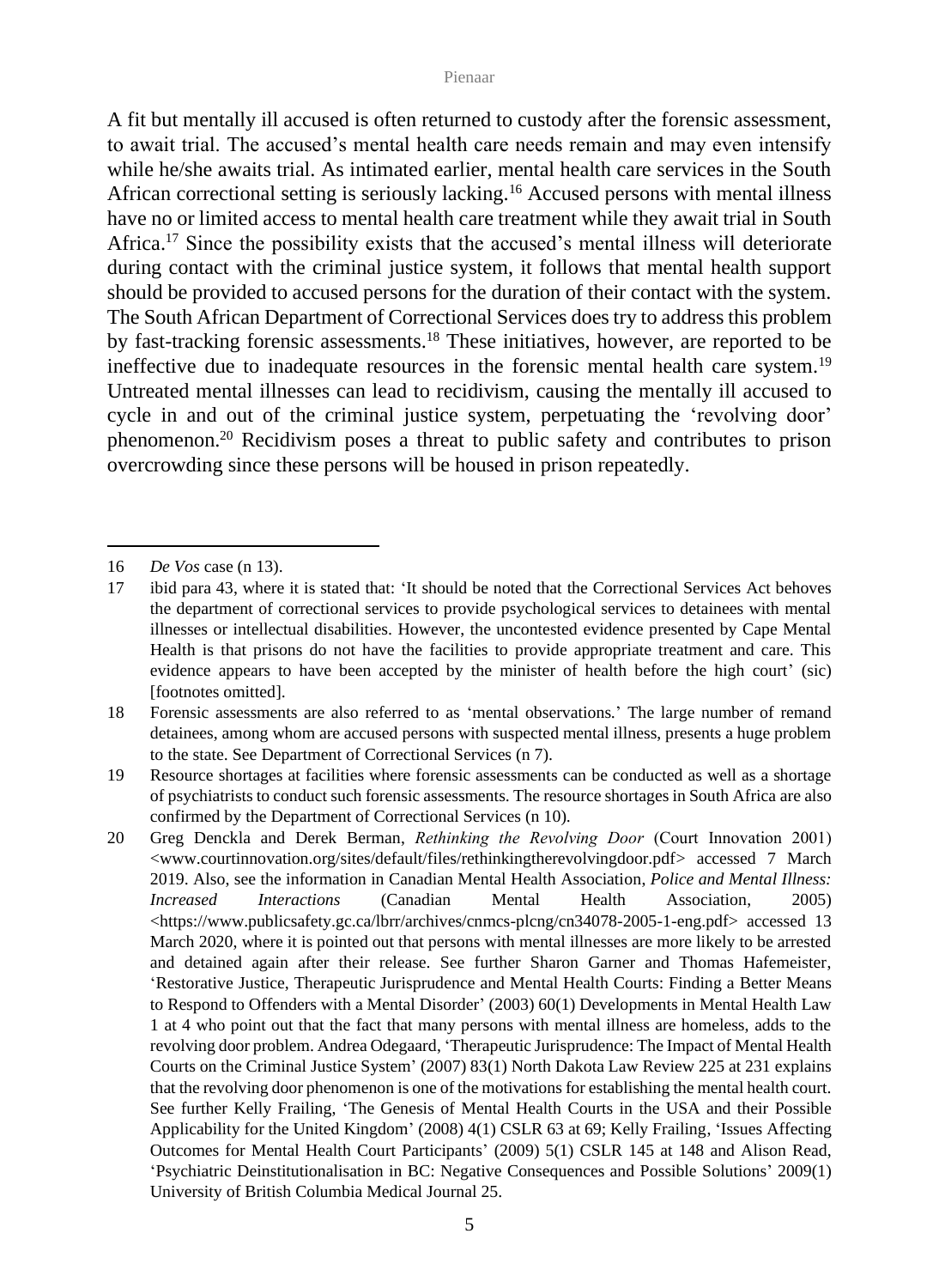A fit but mentally ill accused is often returned to custody after the forensic assessment, to await trial. The accused's mental health care needs remain and may even intensify while he/she awaits trial. As intimated earlier, mental health care services in the South African correctional setting is seriously lacking.<sup>16</sup> Accused persons with mental illness have no or limited access to mental health care treatment while they await trial in South Africa.<sup>17</sup> Since the possibility exists that the accused's mental illness will deteriorate during contact with the criminal justice system, it follows that mental health support should be provided to accused persons for the duration of their contact with the system. The South African Department of Correctional Services does try to address this problem by fast-tracking forensic assessments.<sup>18</sup> These initiatives, however, are reported to be ineffective due to inadequate resources in the forensic mental health care system.<sup>19</sup> Untreated mental illnesses can lead to recidivism, causing the mentally ill accused to cycle in and out of the criminal justice system, perpetuating the 'revolving door' phenomenon.<sup>20</sup> Recidivism poses a threat to public safety and contributes to prison overcrowding since these persons will be housed in prison repeatedly.

<sup>16</sup> *De Vos* case (n 13).

<sup>17</sup> ibid para 43, where it is stated that: 'It should be noted that the Correctional Services Act behoves the department of correctional services to provide psychological services to detainees with mental illnesses or intellectual disabilities. However, the uncontested evidence presented by Cape Mental Health is that prisons do not have the facilities to provide appropriate treatment and care. This evidence appears to have been accepted by the minister of health before the high court' (sic) [footnotes omitted].

<sup>18</sup> Forensic assessments are also referred to as 'mental observations.' The large number of remand detainees, among whom are accused persons with suspected mental illness, presents a huge problem to the state. See Department of Correctional Services (n 7).

<sup>19</sup> Resource shortages at facilities where forensic assessments can be conducted as well as a shortage of psychiatrists to conduct such forensic assessments. The resource shortages in South Africa are also confirmed by the Department of Correctional Services (n 10).

<sup>20</sup> Greg Denckla and Derek Berman, *Rethinking the Revolving Door* (Court Innovation 2001) [<www.courtinnovation.org/sites/default/files/rethinkingtherevolvingdoor.pdf>](http://www.courtinnovation.org/sites/default/files/rethinkingtherevolvingdoor.pdf) accessed 7 March 2019. Also, see the information in Canadian Mental Health Association, *Police and Mental Illness: Increased Interactions* (Canadian Mental Health Association, 2005) <https://www.publicsafety.gc.ca/lbrr/archives/cnmcs-plcng/cn34078-2005-1-eng.pdf> accessed 13 March 2020, where it is pointed out that persons with mental illnesses are more likely to be arrested and detained again after their release. See further Sharon Garner and Thomas Hafemeister, 'Restorative Justice, Therapeutic Jurisprudence and Mental Health Courts: Finding a Better Means to Respond to Offenders with a Mental Disorder' (2003) 60(1) Developments in Mental Health Law 1 at 4 who point out that the fact that many persons with mental illness are homeless, adds to the revolving door problem. Andrea Odegaard, 'Therapeutic Jurisprudence: The Impact of Mental Health Courts on the Criminal Justice System' (2007) 83(1) North Dakota Law Review 225 at 231 explains that the revolving door phenomenon is one of the motivations for establishing the mental health court. See further Kelly Frailing, 'The Genesis of Mental Health Courts in the USA and their Possible Applicability for the United Kingdom' (2008) 4(1) CSLR 63 at 69; Kelly Frailing, 'Issues Affecting Outcomes for Mental Health Court Participants' (2009) 5(1) CSLR 145 at 148 and Alison Read, 'Psychiatric Deinstitutionalisation in BC: Negative Consequences and Possible Solutions' 2009(1) University of British Columbia Medical Journal 25.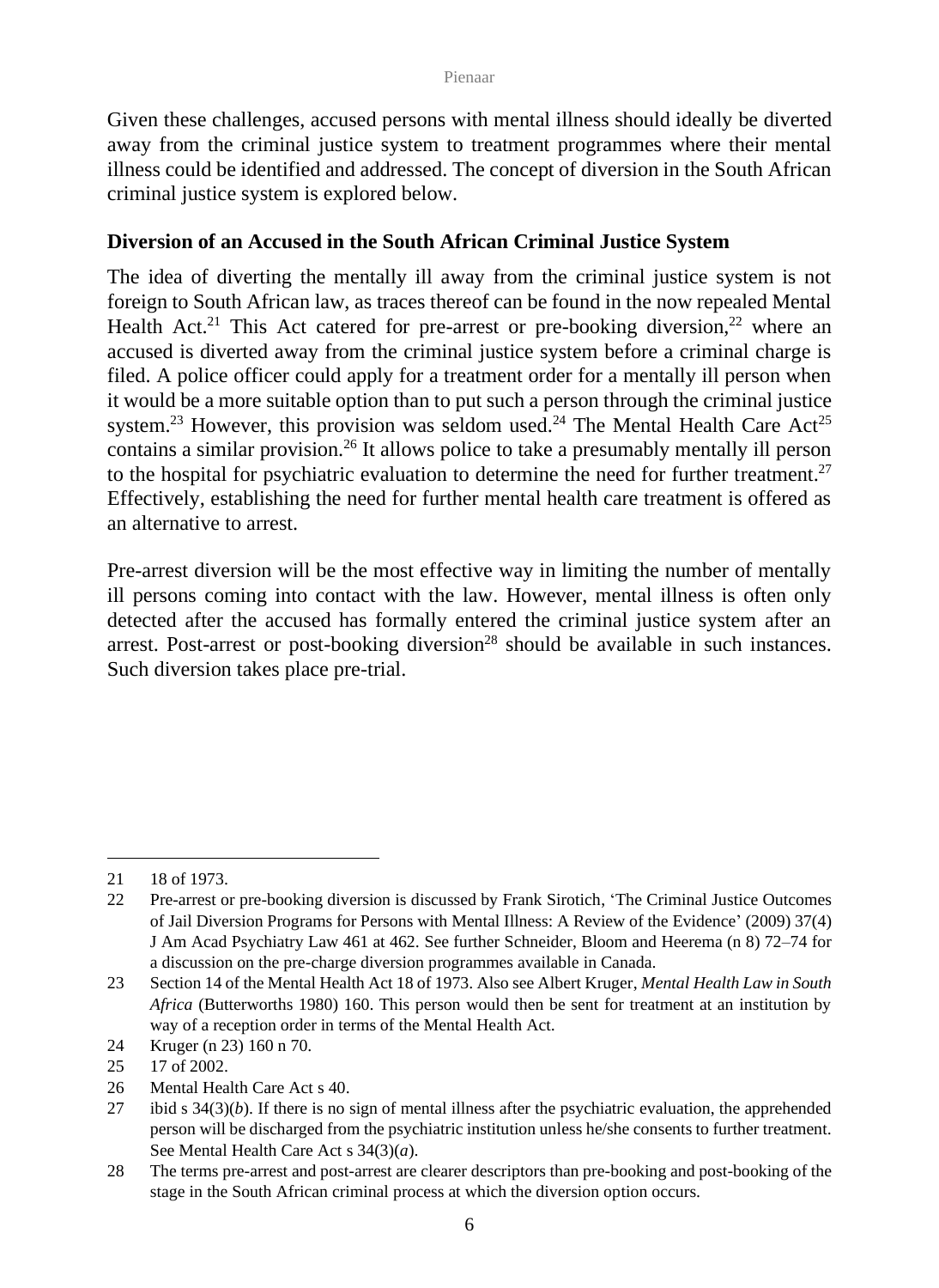Given these challenges, accused persons with mental illness should ideally be diverted away from the criminal justice system to treatment programmes where their mental illness could be identified and addressed. The concept of diversion in the South African criminal justice system is explored below.

### **Diversion of an Accused in the South African Criminal Justice System**

The idea of diverting the mentally ill away from the criminal justice system is not foreign to South African law, as traces thereof can be found in the now repealed Mental Health Act.<sup>21</sup> This Act catered for pre-arrest or pre-booking diversion,  $2^2$  where an accused is diverted away from the criminal justice system before a criminal charge is filed. A police officer could apply for a treatment order for a mentally ill person when it would be a more suitable option than to put such a person through the criminal justice system.<sup>23</sup> However, this provision was seldom used.<sup>24</sup> The Mental Health Care Act<sup>25</sup> contains a similar provision.<sup>26</sup> It allows police to take a presumably mentally ill person to the hospital for psychiatric evaluation to determine the need for further treatment.<sup>27</sup> Effectively, establishing the need for further mental health care treatment is offered as an alternative to arrest.

Pre-arrest diversion will be the most effective way in limiting the number of mentally ill persons coming into contact with the law. However, mental illness is often only detected after the accused has formally entered the criminal justice system after an arrest. Post-arrest or post-booking diversion<sup>28</sup> should be available in such instances. Such diversion takes place pre-trial.

<sup>21</sup> 18 of 1973.

<sup>22</sup> Pre-arrest or pre-booking diversion is discussed by Frank Sirotich, 'The Criminal Justice Outcomes of Jail Diversion Programs for Persons with Mental Illness: A Review of the Evidence' (2009) 37(4) J Am Acad Psychiatry Law 461 at 462. See further Schneider, Bloom and Heerema (n 8) 72–74 for a discussion on the pre-charge diversion programmes available in Canada.

<sup>23</sup> Section 14 of the Mental Health Act 18 of 1973. Also see Albert Kruger, *Mental Health Law in South Africa* (Butterworths 1980) 160. This person would then be sent for treatment at an institution by way of a reception order in terms of the Mental Health Act.

<sup>24</sup> Kruger (n 23) 160 n 70.

<sup>25</sup> 17 of 2002.

<sup>26</sup> Mental Health Care Act s 40.

<sup>27</sup> ibid s  $34(3)(b)$ . If there is no sign of mental illness after the psychiatric evaluation, the apprehended person will be discharged from the psychiatric institution unless he/she consents to further treatment. See Mental Health Care Act s 34(3)(*a*).

<sup>28</sup> The terms pre-arrest and post-arrest are clearer descriptors than pre-booking and post-booking of the stage in the South African criminal process at which the diversion option occurs.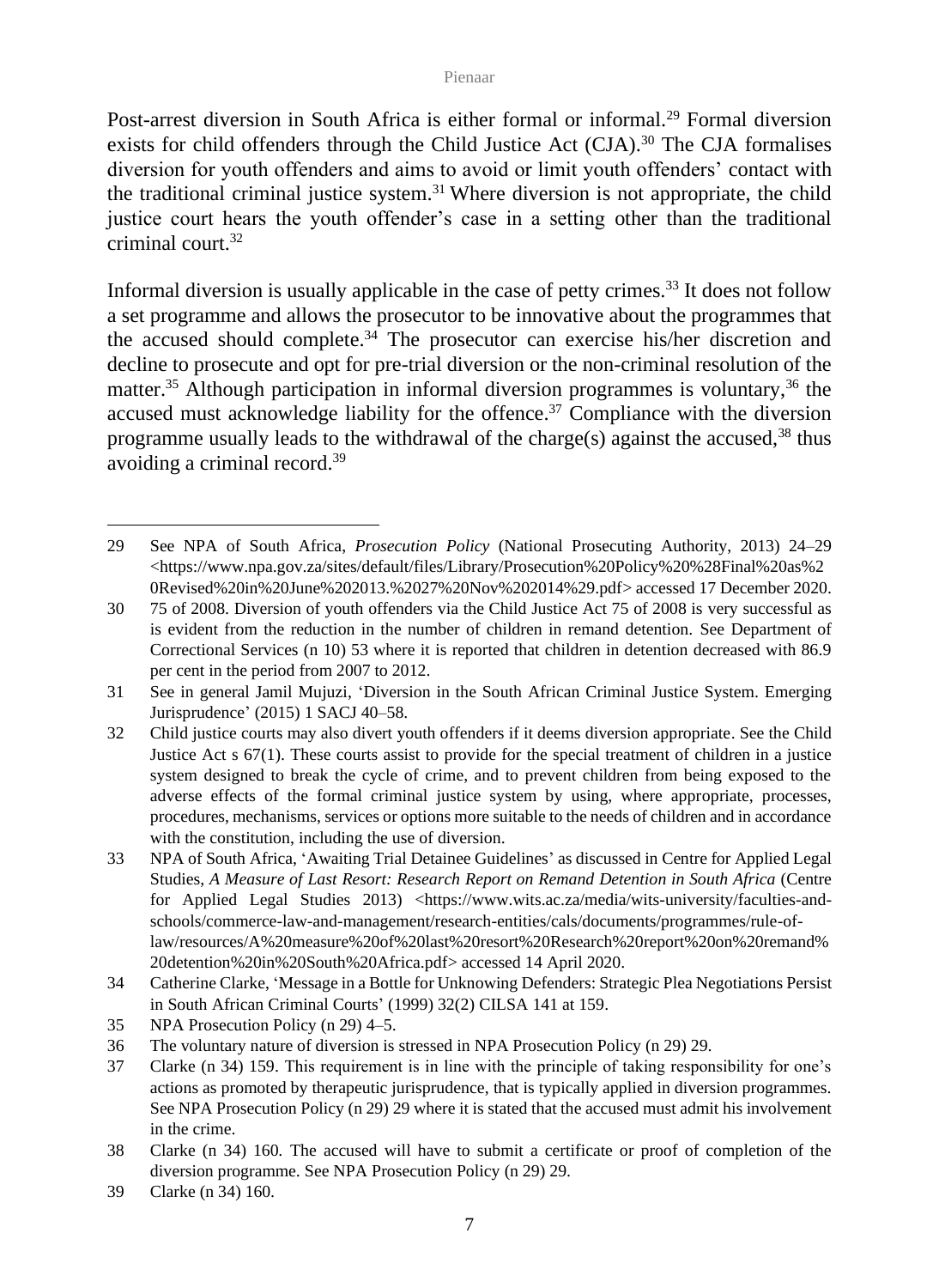Post-arrest diversion in South Africa is either formal or informal.<sup>29</sup> Formal diversion exists for child offenders through the Child Justice Act  $(CJA)$ .<sup>30</sup> The CJA formalises diversion for youth offenders and aims to avoid or limit youth offenders' contact with the traditional criminal justice system.<sup>31</sup> Where diversion is not appropriate, the child justice court hears the youth offender's case in a setting other than the traditional criminal court<sup>32</sup>

Informal diversion is usually applicable in the case of petty crimes.<sup>33</sup> It does not follow a set programme and allows the prosecutor to be innovative about the programmes that the accused should complete. $34$  The prosecutor can exercise his/her discretion and decline to prosecute and opt for pre-trial diversion or the non-criminal resolution of the matter.<sup>35</sup> Although participation in informal diversion programmes is voluntary,<sup>36</sup> the accused must acknowledge liability for the offence.<sup>37</sup> Compliance with the diversion programme usually leads to the withdrawal of the charge(s) against the accused,  $38$  thus avoiding a criminal record.<sup>39</sup>

<sup>29</sup> See NPA of South Africa, *Prosecution Policy* (National Prosecuting Authority, 2013) 24–29 <https://www.npa.gov.za/sites/default/files/Library/Prosecution%20Policy%20%28Final%20as%2 0Revised%20in%20June%202013.%2027%20Nov%202014%29.pdf> accessed 17 December 2020.

<sup>30</sup> 75 of 2008. Diversion of youth offenders via the Child Justice Act 75 of 2008 is very successful as is evident from the reduction in the number of children in remand detention. See Department of Correctional Services (n 10) 53 where it is reported that children in detention decreased with 86.9 per cent in the period from 2007 to 2012.

<sup>31</sup> See in general Jamil Mujuzi, 'Diversion in the South African Criminal Justice System. Emerging Jurisprudence' (2015) 1 SACJ 40–58.

<sup>32</sup> Child justice courts may also divert youth offenders if it deems diversion appropriate. See the Child Justice Act s 67(1). These courts assist to provide for the special treatment of children in a justice system designed to break the cycle of crime, and to prevent children from being exposed to the adverse effects of the formal criminal justice system by using, where appropriate, processes, procedures, mechanisms, services or options more suitable to the needs of children and in accordance with the constitution, including the use of diversion.

<sup>33</sup> NPA of South Africa, 'Awaiting Trial Detainee Guidelines' as discussed in Centre for Applied Legal Studies, *A Measure of Last Resort: Research Report on Remand Detention in South Africa* (Centre for Applied Legal Studies 2013) [<https://www.wits.ac.za/media/wits-university/faculties-and](https://www.wits.ac.za/media/wits-university/faculties-and-schools/commerce-law-and-management/research-entities/cals/documents/programmes/rule-of-law/resources/A%20measure%20of%20last%20resort%20Research%20report%20on%20remand%20detention%20in%20South%20Africa.pdf)[schools/commerce-law-and-management/research-entities/cals/documents/programmes/rule-of](https://www.wits.ac.za/media/wits-university/faculties-and-schools/commerce-law-and-management/research-entities/cals/documents/programmes/rule-of-law/resources/A%20measure%20of%20last%20resort%20Research%20report%20on%20remand%20detention%20in%20South%20Africa.pdf)[law/resources/A%20measure%20of%20last%20resort%20Research%20report%20on%20remand%](https://www.wits.ac.za/media/wits-university/faculties-and-schools/commerce-law-and-management/research-entities/cals/documents/programmes/rule-of-law/resources/A%20measure%20of%20last%20resort%20Research%20report%20on%20remand%20detention%20in%20South%20Africa.pdf) [20detention%20in%20South%20Africa.pdf>](https://www.wits.ac.za/media/wits-university/faculties-and-schools/commerce-law-and-management/research-entities/cals/documents/programmes/rule-of-law/resources/A%20measure%20of%20last%20resort%20Research%20report%20on%20remand%20detention%20in%20South%20Africa.pdf) accessed 14 April 2020.

<sup>34</sup> Catherine Clarke, 'Message in a Bottle for Unknowing Defenders: Strategic Plea Negotiations Persist in South African Criminal Courts' (1999) 32(2) CILSA 141 at 159.

<sup>35</sup> NPA Prosecution Policy (n 29) 4–5.

<sup>36</sup> The voluntary nature of diversion is stressed in NPA Prosecution Policy (n 29) 29.

<sup>37</sup> Clarke (n 34) 159. This requirement is in line with the principle of taking responsibility for one's actions as promoted by therapeutic jurisprudence, that is typically applied in diversion programmes. See NPA Prosecution Policy (n 29) 29 where it is stated that the accused must admit his involvement in the crime.

<sup>38</sup> Clarke (n 34) 160*.* The accused will have to submit a certificate or proof of completion of the diversion programme. See NPA Prosecution Policy (n 29) 29.

<sup>39</sup> Clarke (n 34) 160*.*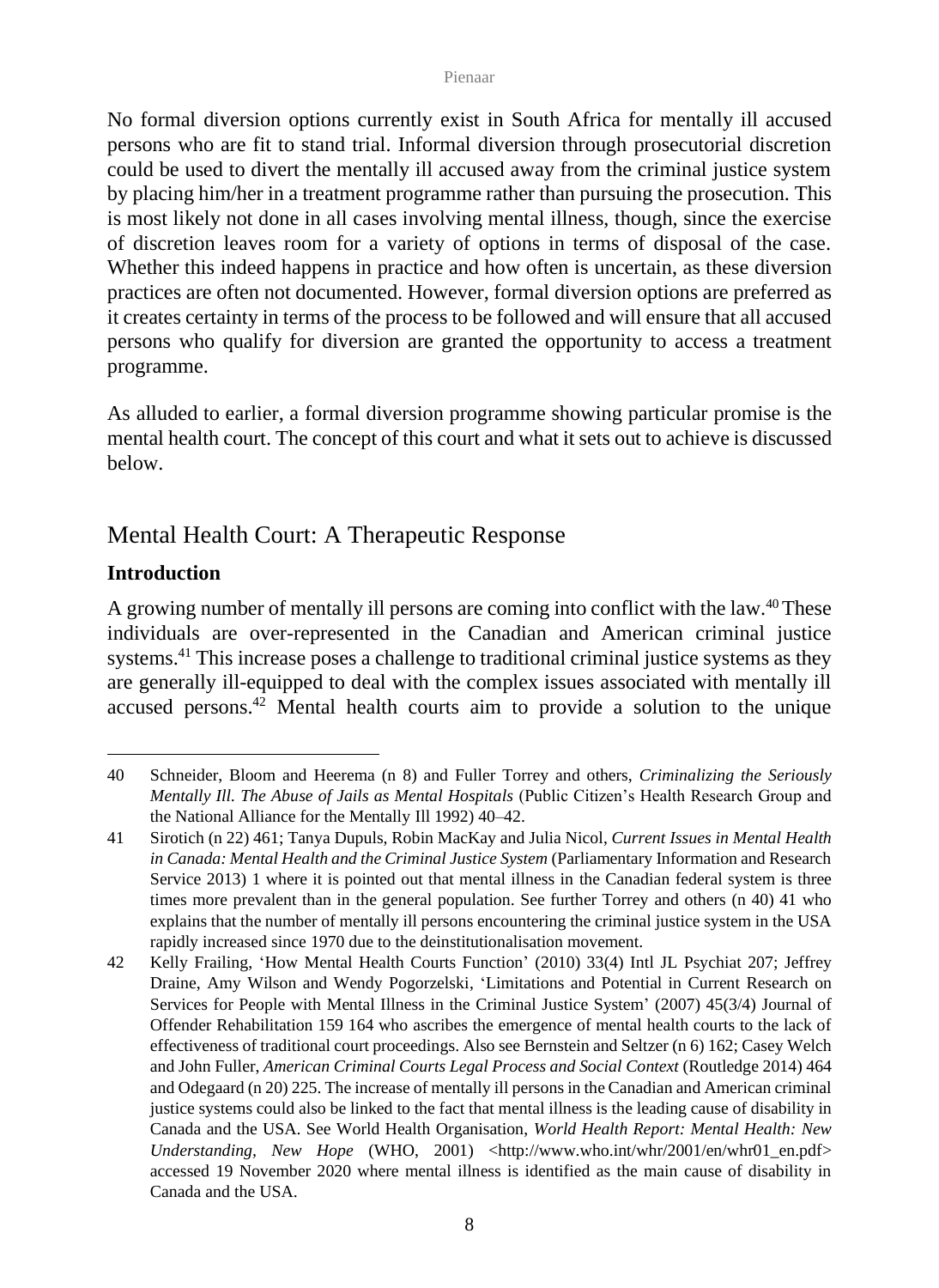No formal diversion options currently exist in South Africa for mentally ill accused persons who are fit to stand trial. Informal diversion through prosecutorial discretion could be used to divert the mentally ill accused away from the criminal justice system by placing him/her in a treatment programme rather than pursuing the prosecution. This is most likely not done in all cases involving mental illness, though, since the exercise of discretion leaves room for a variety of options in terms of disposal of the case. Whether this indeed happens in practice and how often is uncertain, as these diversion practices are often not documented. However, formal diversion options are preferred as it creates certainty in terms of the process to be followed and will ensure that all accused persons who qualify for diversion are granted the opportunity to access a treatment programme.

As alluded to earlier, a formal diversion programme showing particular promise is the mental health court. The concept of this court and what it sets out to achieve is discussed below.

## Mental Health Court: A Therapeutic Response

## **Introduction**

A growing number of mentally ill persons are coming into conflict with the law.<sup>40</sup>These individuals are over-represented in the Canadian and American criminal justice systems.<sup>41</sup> This increase poses a challenge to traditional criminal justice systems as they are generally ill-equipped to deal with the complex issues associated with mentally ill accused persons.<sup>42</sup> Mental health courts aim to provide a solution to the unique

<sup>40</sup> Schneider, Bloom and Heerema (n 8) and Fuller Torrey and others, *Criminalizing the Seriously Mentally Ill. The Abuse of Jails as Mental Hospitals* (Public Citizen's Health Research Group and the National Alliance for the Mentally Ill 1992) 40–42.

<sup>41</sup> Sirotich (n 22) 461; Tanya Dupuls, Robin MacKay and Julia Nicol, *Current Issues in Mental Health in Canada: Mental Health and the Criminal Justice System (Parliamentary Information and Research* Service 2013) 1 where it is pointed out that mental illness in the Canadian federal system is three times more prevalent than in the general population. See further Torrey and others (n 40) 41 who explains that the number of mentally ill persons encountering the criminal justice system in the USA rapidly increased since 1970 due to the deinstitutionalisation movement.

<sup>42</sup> Kelly Frailing, 'How Mental Health Courts Function' (2010) 33(4) Intl JL Psychiat 207; Jeffrey Draine, Amy Wilson and Wendy Pogorzelski, 'Limitations and Potential in Current Research on Services for People with Mental Illness in the Criminal Justice System' (2007) 45(3/4) Journal of Offender Rehabilitation 159 164 who ascribes the emergence of mental health courts to the lack of effectiveness of traditional court proceedings. Also see Bernstein and Seltzer (n 6) 162; Casey Welch and John Fuller, *American Criminal Courts Legal Process and Social Context* (Routledge 2014) 464 and Odegaard (n 20) 225. The increase of mentally ill persons in the Canadian and American criminal justice systems could also be linked to the fact that mental illness is the leading cause of disability in Canada and the USA. See World Health Organisation, *World Health Report: Mental Health: New Understanding, New Hope* (WHO, 2001) [<http://www.who.int/whr/2001/en/whr01\\_en.pdf>](http://www.who.int/whr/2001/en/whr01_en.pdf) accessed 19 November 2020 where mental illness is identified as the main cause of disability in Canada and the USA.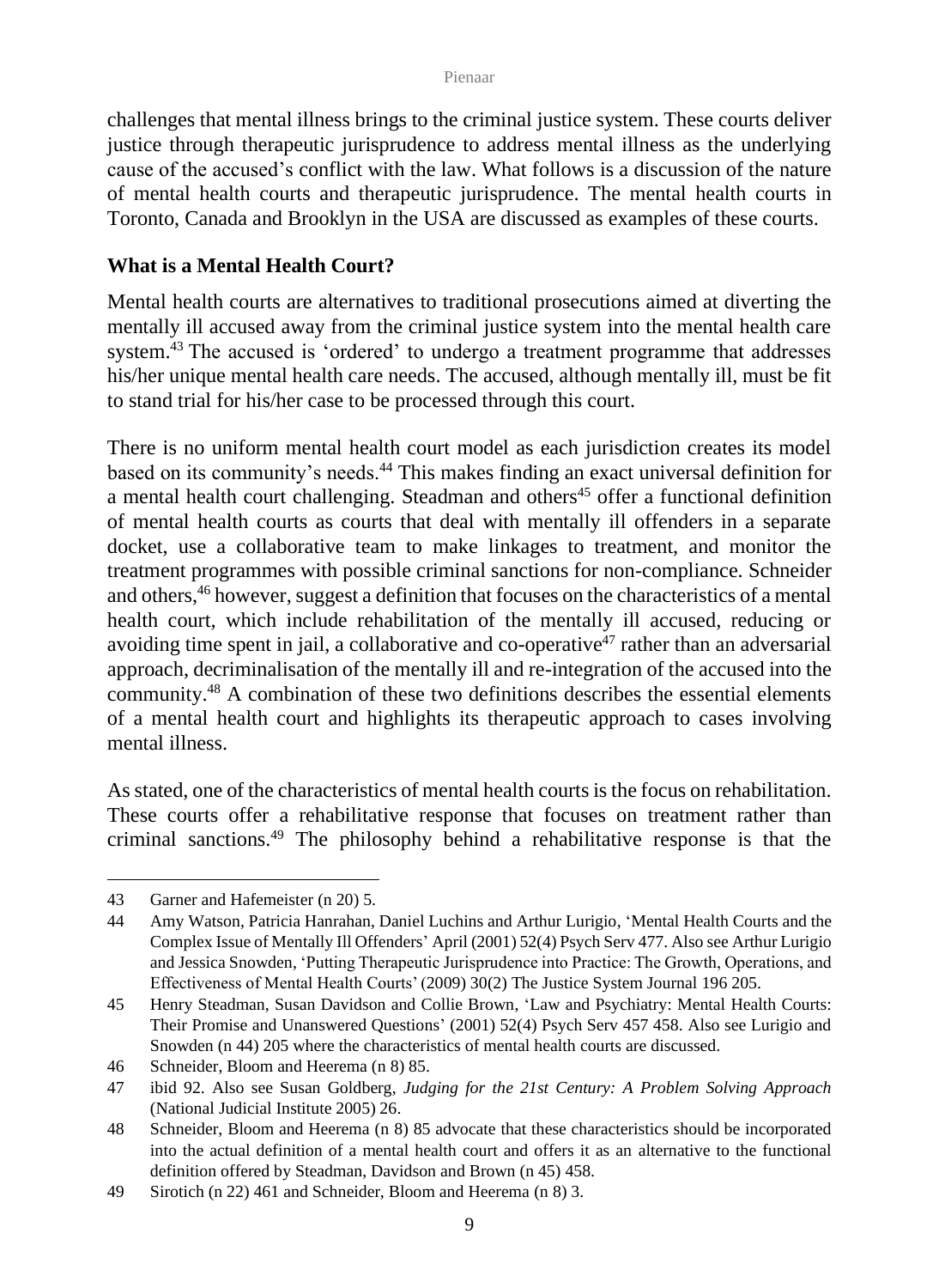challenges that mental illness brings to the criminal justice system. These courts deliver justice through therapeutic jurisprudence to address mental illness as the underlying cause of the accused's conflict with the law. What follows is a discussion of the nature of mental health courts and therapeutic jurisprudence. The mental health courts in Toronto, Canada and Brooklyn in the USA are discussed as examples of these courts.

### **What is a Mental Health Court?**

Mental health courts are alternatives to traditional prosecutions aimed at diverting the mentally ill accused away from the criminal justice system into the mental health care system.<sup>43</sup> The accused is 'ordered' to undergo a treatment programme that addresses his/her unique mental health care needs. The accused, although mentally ill, must be fit to stand trial for his/her case to be processed through this court.

There is no uniform mental health court model as each jurisdiction creates its model based on its community's needs.<sup>44</sup> This makes finding an exact universal definition for a mental health court challenging. Steadman and others<sup>45</sup> offer a functional definition of mental health courts as courts that deal with mentally ill offenders in a separate docket, use a collaborative team to make linkages to treatment, and monitor the treatment programmes with possible criminal sanctions for non-compliance. Schneider and others,<sup>46</sup> however, suggest a definition that focuses on the characteristics of a mental health court, which include rehabilitation of the mentally ill accused, reducing or avoiding time spent in jail, a collaborative and co-operative<sup>47</sup> rather than an adversarial approach, decriminalisation of the mentally ill and re-integration of the accused into the community.<sup>48</sup> A combination of these two definitions describes the essential elements of a mental health court and highlights its therapeutic approach to cases involving mental illness.

As stated, one of the characteristics of mental health courts is the focus on rehabilitation. These courts offer a rehabilitative response that focuses on treatment rather than criminal sanctions.<sup>49</sup> The philosophy behind a rehabilitative response is that the

<sup>43</sup> Garner and Hafemeister (n 20) 5.

<sup>44</sup> Amy Watson, Patricia Hanrahan, Daniel Luchins and Arthur Lurigio, 'Mental Health Courts and the Complex Issue of Mentally Ill Offenders' April (2001) 52(4) Psych Serv 477. Also see Arthur Lurigio and Jessica Snowden, 'Putting Therapeutic Jurisprudence into Practice: The Growth, Operations, and Effectiveness of Mental Health Courts' (2009) 30(2) The Justice System Journal 196 205.

<sup>45</sup> Henry Steadman, Susan Davidson and Collie Brown, 'Law and Psychiatry: Mental Health Courts: Their Promise and Unanswered Questions' (2001) 52(4) Psych Serv 457 458. Also see Lurigio and Snowden (n 44) 205 where the characteristics of mental health courts are discussed.

<sup>46</sup> Schneider, Bloom and Heerema (n 8) 85.

<sup>47</sup> ibid 92. Also see Susan Goldberg, *Judging for the 21st Century: A Problem Solving Approach* (National Judicial Institute 2005) 26.

<sup>48</sup> Schneider, Bloom and Heerema (n 8) 85 advocate that these characteristics should be incorporated into the actual definition of a mental health court and offers it as an alternative to the functional definition offered by Steadman, Davidson and Brown (n 45) 458.

<sup>49</sup> Sirotich (n 22) 461 and Schneider, Bloom and Heerema (n 8) 3.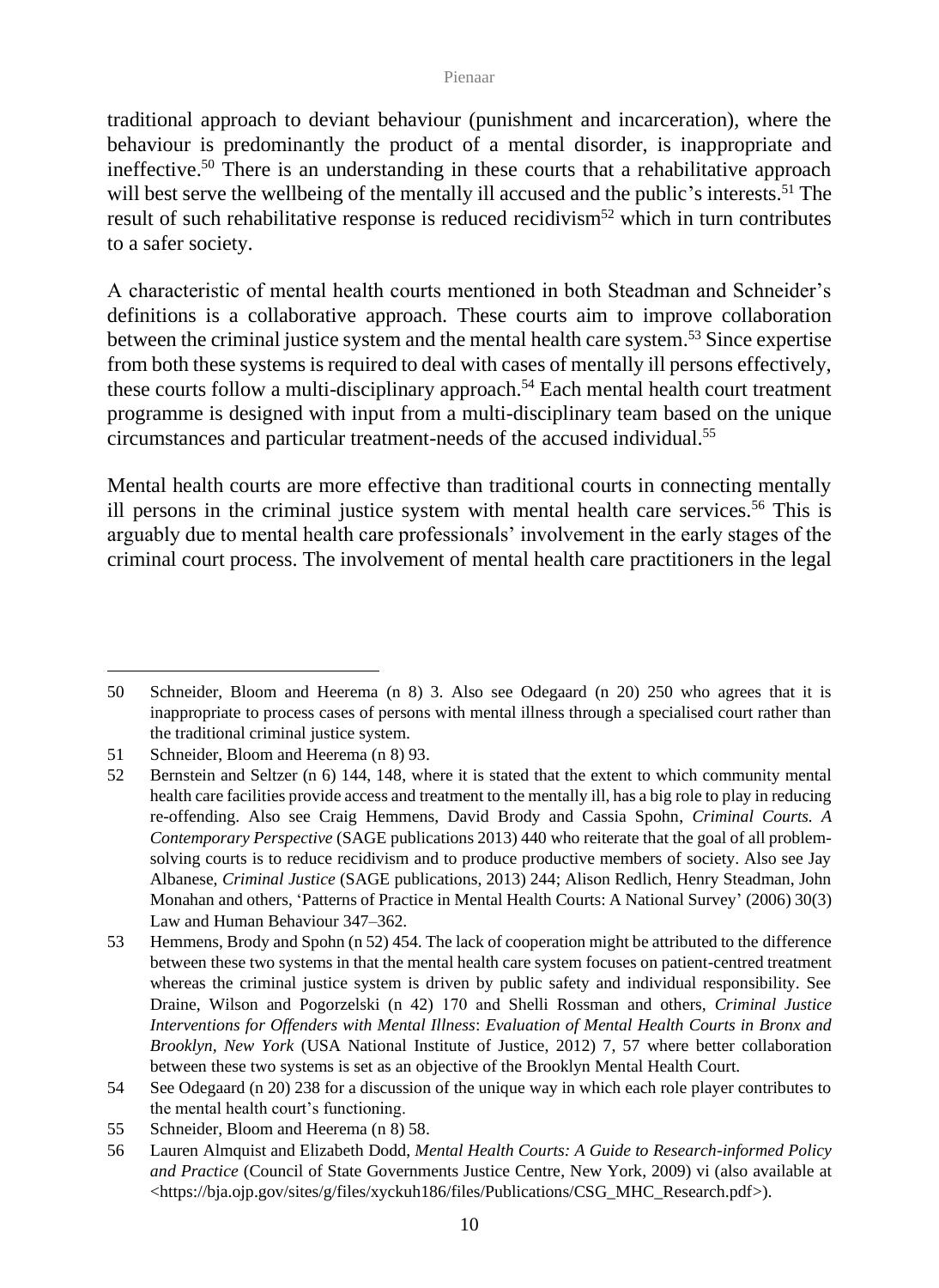traditional approach to deviant behaviour (punishment and incarceration), where the behaviour is predominantly the product of a mental disorder, is inappropriate and ineffective.<sup>50</sup> There is an understanding in these courts that a rehabilitative approach will best serve the wellbeing of the mentally ill accused and the public's interests.<sup>51</sup> The result of such rehabilitative response is reduced recidivism<sup>52</sup> which in turn contributes to a safer society.

A characteristic of mental health courts mentioned in both Steadman and Schneider's definitions is a collaborative approach. These courts aim to improve collaboration between the criminal justice system and the mental health care system.<sup>53</sup> Since expertise from both these systems is required to deal with cases of mentally ill persons effectively, these courts follow a multi-disciplinary approach.<sup>54</sup> Each mental health court treatment programme is designed with input from a multi-disciplinary team based on the unique circumstances and particular treatment-needs of the accused individual.<sup>55</sup>

Mental health courts are more effective than traditional courts in connecting mentally ill persons in the criminal justice system with mental health care services.<sup>56</sup> This is arguably due to mental health care professionals' involvement in the early stages of the criminal court process. The involvement of mental health care practitioners in the legal

<sup>50</sup> Schneider, Bloom and Heerema (n 8) 3. Also see Odegaard (n 20) 250 who agrees that it is inappropriate to process cases of persons with mental illness through a specialised court rather than the traditional criminal justice system.

<sup>51</sup> Schneider, Bloom and Heerema (n 8) 93.

<sup>52</sup> Bernstein and Seltzer (n 6) 144, 148, where it is stated that the extent to which community mental health care facilities provide access and treatment to the mentally ill, has a big role to play in reducing re-offending. Also see Craig Hemmens, David Brody and Cassia Spohn, *Criminal Courts. A Contemporary Perspective* (SAGE publications 2013) 440 who reiterate that the goal of all problemsolving courts is to reduce recidivism and to produce productive members of society. Also see Jay Albanese, *Criminal Justice* (SAGE publications, 2013) 244; Alison Redlich, Henry Steadman, John Monahan and others, 'Patterns of Practice in Mental Health Courts: A National Survey' (2006) 30(3) Law and Human Behaviour 347–362.

<sup>53</sup> Hemmens, Brody and Spohn (n 52) 454. The lack of cooperation might be attributed to the difference between these two systems in that the mental health care system focuses on patient-centred treatment whereas the criminal justice system is driven by public safety and individual responsibility. See Draine, Wilson and Pogorzelski (n 42) 170 and Shelli Rossman and others*, Criminal Justice Interventions for Offenders with Mental Illness*: *Evaluation of Mental Health Courts in Bronx and Brooklyn, New York* (USA National Institute of Justice, 2012) 7, 57 where better collaboration between these two systems is set as an objective of the Brooklyn Mental Health Court.

<sup>54</sup> See Odegaard (n 20) 238 for a discussion of the unique way in which each role player contributes to the mental health court's functioning.

<sup>55</sup> Schneider, Bloom and Heerema (n 8) 58.

<sup>56</sup> Lauren Almquist and Elizabeth Dodd, *Mental Health Courts: A Guide to Research-informed Policy and Practice* (Council of State Governments Justice Centre, New York, 2009) vi (also available at [<https://bja.ojp.gov/sites/g/files/xyckuh186/files/Publications/CSG\\_MHC\\_Research.pdf>](https://bja.ojp.gov/sites/g/files/xyckuh186/files/Publications/CSG_MHC_Research.pdf)).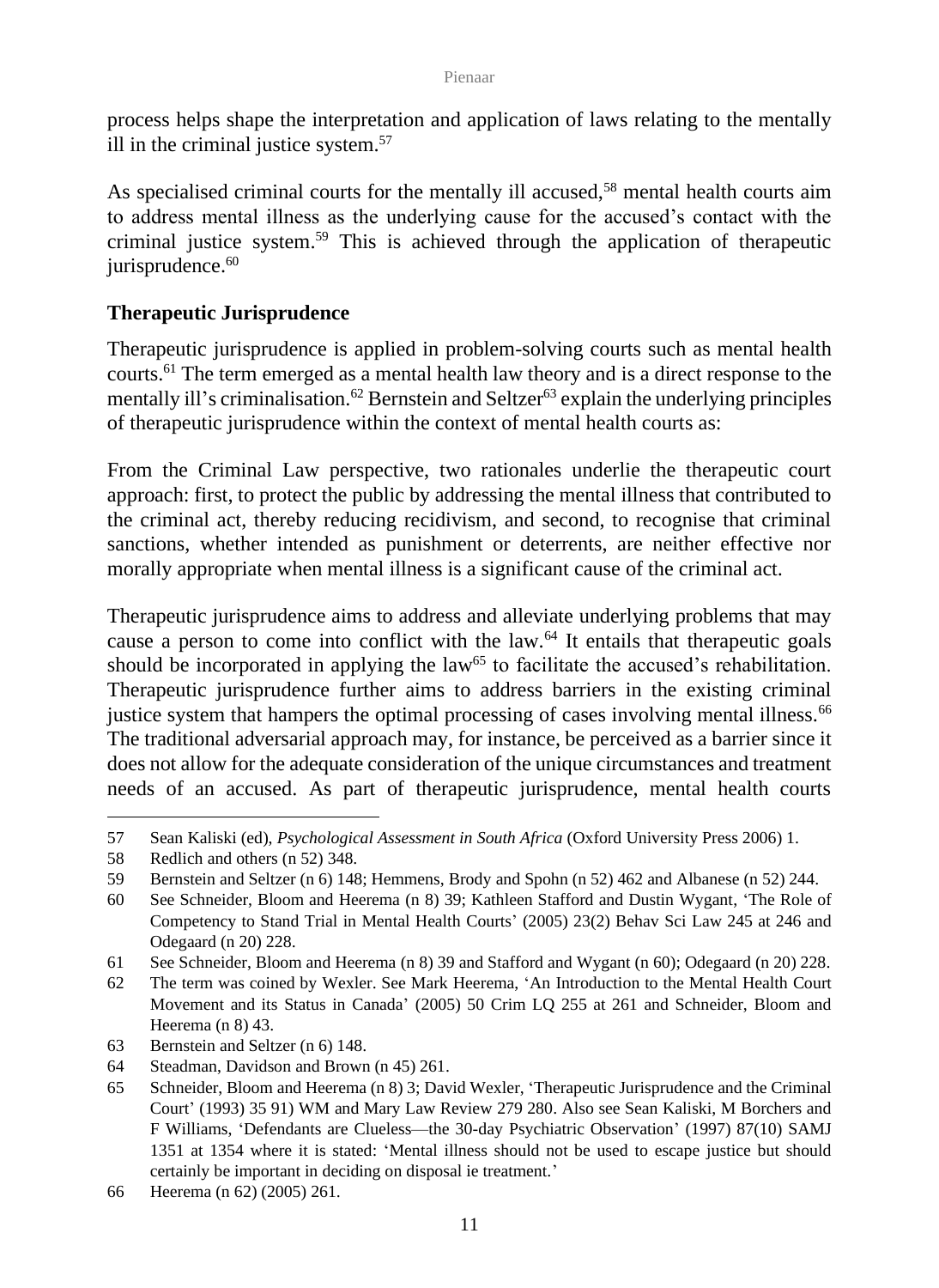process helps shape the interpretation and application of laws relating to the mentally ill in the criminal justice system.<sup>57</sup>

As specialised criminal courts for the mentally ill accused,<sup>58</sup> mental health courts aim to address mental illness as the underlying cause for the accused's contact with the criminal justice system.<sup>59</sup> This is achieved through the application of therapeutic jurisprudence. 60

## **Therapeutic Jurisprudence**

Therapeutic jurisprudence is applied in problem-solving courts such as mental health courts.<sup>61</sup> The term emerged as a mental health law theory and is a direct response to the mentally ill's criminalisation.<sup>62</sup> Bernstein and Seltzer<sup>63</sup> explain the underlying principles of therapeutic jurisprudence within the context of mental health courts as:

From the Criminal Law perspective, two rationales underlie the therapeutic court approach: first, to protect the public by addressing the mental illness that contributed to the criminal act, thereby reducing recidivism, and second, to recognise that criminal sanctions, whether intended as punishment or deterrents, are neither effective nor morally appropriate when mental illness is a significant cause of the criminal act.

Therapeutic jurisprudence aims to address and alleviate underlying problems that may cause a person to come into conflict with the law.<sup>64</sup> It entails that therapeutic goals should be incorporated in applying the law<sup>65</sup> to facilitate the accused's rehabilitation. Therapeutic jurisprudence further aims to address barriers in the existing criminal justice system that hampers the optimal processing of cases involving mental illness.<sup>66</sup> The traditional adversarial approach may, for instance, be perceived as a barrier since it does not allow for the adequate consideration of the unique circumstances and treatment needs of an accused. As part of therapeutic jurisprudence, mental health courts

<sup>57</sup> Sean Kaliski (ed), *Psychological Assessment in South Africa* (Oxford University Press 2006) 1.

<sup>58</sup> Redlich and others (n 52) 348.

<sup>59</sup> Bernstein and Seltzer (n 6) 148; Hemmens, Brody and Spohn (n 52) 462 and Albanese (n 52) 244.

<sup>60</sup> See Schneider, Bloom and Heerema (n 8) 39; Kathleen Stafford and Dustin Wygant, 'The Role of Competency to Stand Trial in Mental Health Courts' (2005) 23(2) Behav Sci Law 245 at 246 and Odegaard (n 20) 228.

<sup>61</sup> See Schneider, Bloom and Heerema (n 8) 39 and Stafford and Wygant (n 60); Odegaard (n 20) 228.

<sup>62</sup> The term was coined by Wexler. See Mark Heerema, 'An Introduction to the Mental Health Court Movement and its Status in Canada' (2005) 50 Crim LQ 255 at 261 and Schneider, Bloom and Heerema (n 8) 43.

<sup>63</sup> Bernstein and Seltzer (n 6) 148.

<sup>64</sup> Steadman, Davidson and Brown (n 45) 261.

<sup>65</sup> Schneider, Bloom and Heerema (n 8) 3; David Wexler, 'Therapeutic Jurisprudence and the Criminal Court' (1993) 35 91) WM and Mary Law Review 279 280. Also see Sean Kaliski, M Borchers and F Williams, 'Defendants are Clueless—the 30-day Psychiatric Observation' (1997) 87(10) SAMJ 1351 at 1354 where it is stated: 'Mental illness should not be used to escape justice but should certainly be important in deciding on disposal ie treatment.'

<sup>66</sup> Heerema (n 62) (2005) 261.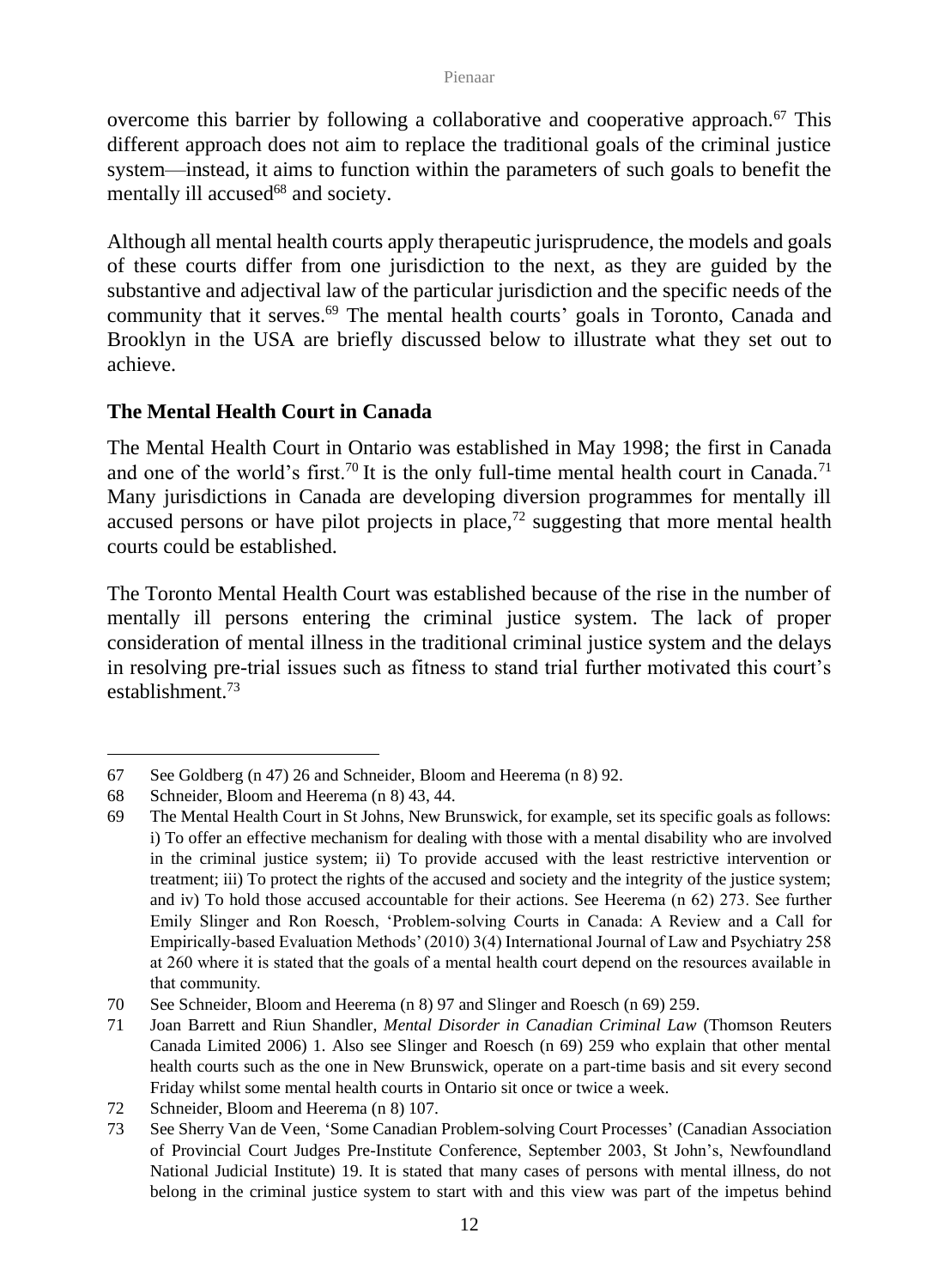overcome this barrier by following a collaborative and cooperative approach.<sup>67</sup> This different approach does not aim to replace the traditional goals of the criminal justice system—instead, it aims to function within the parameters of such goals to benefit the mentally ill accused<sup>68</sup> and society.

Although all mental health courts apply therapeutic jurisprudence, the models and goals of these courts differ from one jurisdiction to the next, as they are guided by the substantive and adjectival law of the particular jurisdiction and the specific needs of the community that it serves.<sup>69</sup> The mental health courts' goals in Toronto, Canada and Brooklyn in the USA are briefly discussed below to illustrate what they set out to achieve.

## **The Mental Health Court in Canada**

The Mental Health Court in Ontario was established in May 1998; the first in Canada and one of the world's first.<sup>70</sup> It is the only full-time mental health court in Canada.<sup>71</sup> Many jurisdictions in Canada are developing diversion programmes for mentally ill accused persons or have pilot projects in place,<sup>72</sup> suggesting that more mental health courts could be established.

The Toronto Mental Health Court was established because of the rise in the number of mentally ill persons entering the criminal justice system. The lack of proper consideration of mental illness in the traditional criminal justice system and the delays in resolving pre-trial issues such as fitness to stand trial further motivated this court's establishment<sup>73</sup>

<sup>67</sup> See Goldberg (n 47) 26 and Schneider, Bloom and Heerema (n 8) 92.

<sup>68</sup> Schneider, Bloom and Heerema (n 8) 43, 44.

<sup>69</sup> The Mental Health Court in St Johns, New Brunswick, for example, set its specific goals as follows: i) To offer an effective mechanism for dealing with those with a mental disability who are involved in the criminal justice system; ii) To provide accused with the least restrictive intervention or treatment; iii) To protect the rights of the accused and society and the integrity of the justice system; and iv) To hold those accused accountable for their actions. See Heerema (n 62) 273. See further Emily Slinger and Ron Roesch, 'Problem-solving Courts in Canada: A Review and a Call for Empirically-based Evaluation Methods'(2010) 3(4) International Journal of Law and Psychiatry 258 at 260 where it is stated that the goals of a mental health court depend on the resources available in that community.

<sup>70</sup> See Schneider, Bloom and Heerema (n 8) 97 and Slinger and Roesch (n 69) 259.

<sup>71</sup> Joan Barrett and Riun Shandler, *Mental Disorder in Canadian Criminal Law* (Thomson Reuters Canada Limited 2006) 1. Also see Slinger and Roesch (n 69) 259 who explain that other mental health courts such as the one in New Brunswick, operate on a part-time basis and sit every second Friday whilst some mental health courts in Ontario sit once or twice a week.

<sup>72</sup> Schneider, Bloom and Heerema (n 8) 107.

<sup>73</sup> See Sherry Van de Veen, 'Some Canadian Problem-solving Court Processes' (Canadian Association of Provincial Court Judges Pre-Institute Conference, September 2003, St John's, Newfoundland National Judicial Institute) 19. It is stated that many cases of persons with mental illness, do not belong in the criminal justice system to start with and this view was part of the impetus behind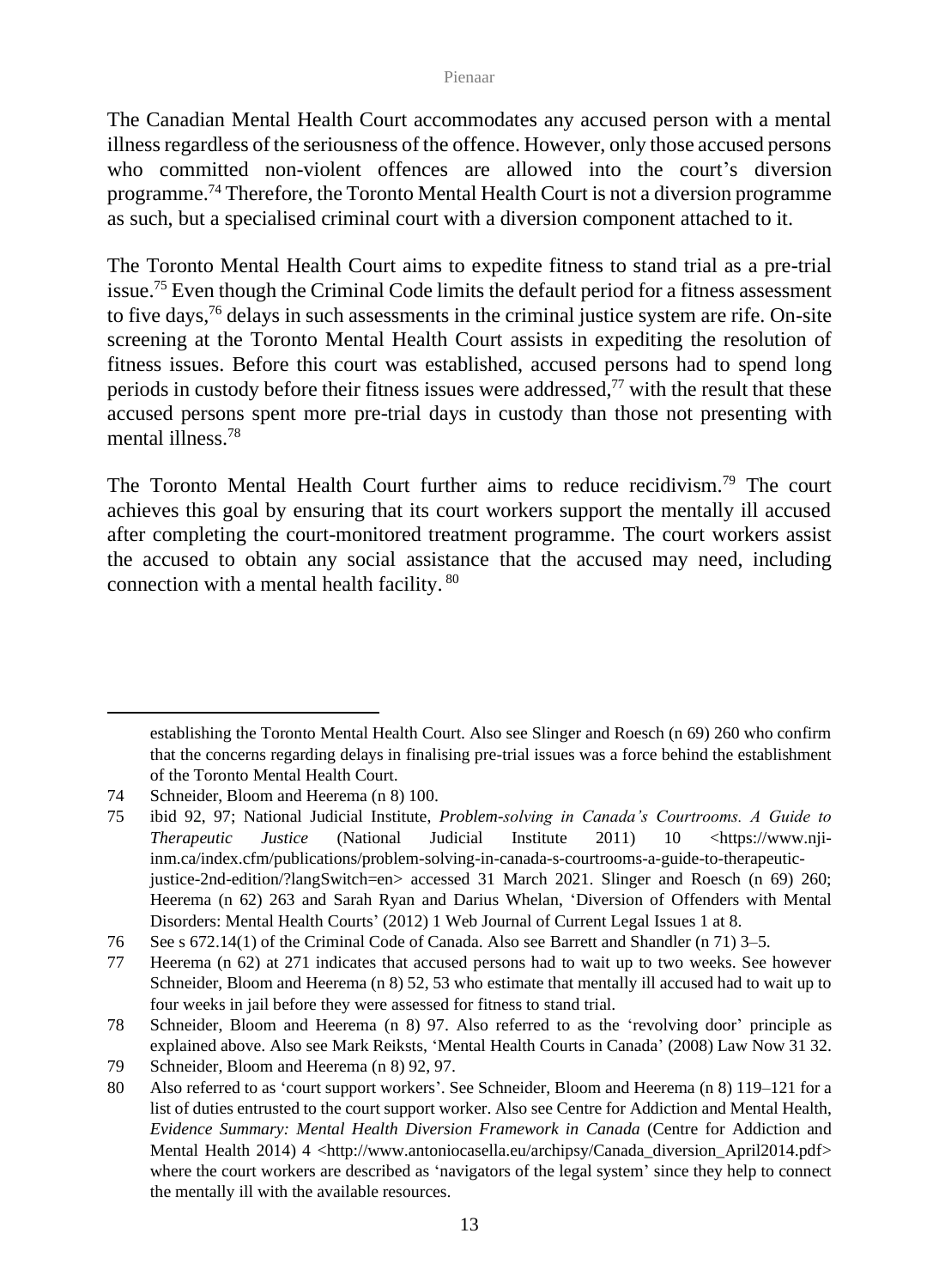The Canadian Mental Health Court accommodates any accused person with a mental illness regardless of the seriousness of the offence. However, only those accused persons who committed non-violent offences are allowed into the court's diversion programme.<sup>74</sup> Therefore, the Toronto Mental Health Court is not a diversion programme as such, but a specialised criminal court with a diversion component attached to it.

The Toronto Mental Health Court aims to expedite fitness to stand trial as a pre-trial issue.<sup>75</sup> Even though the Criminal Code limits the default period for a fitness assessment to five days, $76$  delays in such assessments in the criminal justice system are rife. On-site screening at the Toronto Mental Health Court assists in expediting the resolution of fitness issues. Before this court was established, accused persons had to spend long periods in custody before their fitness issues were addressed, <sup>77</sup> with the result that these accused persons spent more pre-trial days in custody than those not presenting with mental illness.<sup>78</sup>

The Toronto Mental Health Court further aims to reduce recidivism.<sup>79</sup> The court achieves this goal by ensuring that its court workers support the mentally ill accused after completing the court-monitored treatment programme. The court workers assist the accused to obtain any social assistance that the accused may need, including connection with a mental health facility. <sup>80</sup>

establishing the Toronto Mental Health Court. Also see Slinger and Roesch (n 69) 260 who confirm that the concerns regarding delays in finalising pre-trial issues was a force behind the establishment of the Toronto Mental Health Court.

<sup>74</sup> Schneider, Bloom and Heerema (n 8) 100.

<sup>75</sup> ibid 92, 97; National Judicial Institute, *Problem-solving in Canada's Courtrooms. A Guide to Therapeutic Justice* (National Judicial Institute 2011) 10 [<https://www.nji](https://www.nji-inm.ca/index.cfm/publications/problem-solving-in-canada-s-courtrooms-a-guide-to-therapeutic-justice-2nd-edition/?langSwitch=en)[inm.ca/index.cfm/publications/problem-solving-in-canada-s-courtrooms-a-guide-to-therapeutic](https://www.nji-inm.ca/index.cfm/publications/problem-solving-in-canada-s-courtrooms-a-guide-to-therapeutic-justice-2nd-edition/?langSwitch=en)[justice-2nd-edition/?langSwitch=en>](https://www.nji-inm.ca/index.cfm/publications/problem-solving-in-canada-s-courtrooms-a-guide-to-therapeutic-justice-2nd-edition/?langSwitch=en) accessed 31 March 2021. Slinger and Roesch (n 69) 260; Heerema (n 62) 263 and Sarah Ryan and Darius Whelan, 'Diversion of Offenders with Mental Disorders: Mental Health Courts' (2012) 1 Web Journal of Current Legal Issues 1 at 8.

<sup>76</sup> See s 672.14(1) of the Criminal Code of Canada. Also see Barrett and Shandler (n 71) 3–5.

<sup>77</sup> Heerema (n 62) at 271 indicates that accused persons had to wait up to two weeks. See however Schneider, Bloom and Heerema (n 8) 52, 53 who estimate that mentally ill accused had to wait up to four weeks in jail before they were assessed for fitness to stand trial.

<sup>78</sup> Schneider, Bloom and Heerema (n 8) 97. Also referred to as the 'revolving door' principle as explained above. Also see Mark Reiksts, 'Mental Health Courts in Canada' (2008) Law Now 31 32.

<sup>79</sup> Schneider*,* Bloom and Heerema (n 8) 92, 97.

<sup>80</sup> Also referred to as 'court support workers'. See Schneider, Bloom and Heerema (n 8) 119–121 for a list of duties entrusted to the court support worker. Also see Centre for Addiction and Mental Health, *Evidence Summary: Mental Health Diversion Framework in Canada* (Centre for Addiction and Mental Health 2014) 4 [<http://www.antoniocasella.eu/archipsy/Canada\\_diversion\\_April2014.pdf>](http://www.antoniocasella.eu/archipsy/Canada_diversion_April2014.pdf) where the court workers are described as 'navigators of the legal system' since they help to connect the mentally ill with the available resources.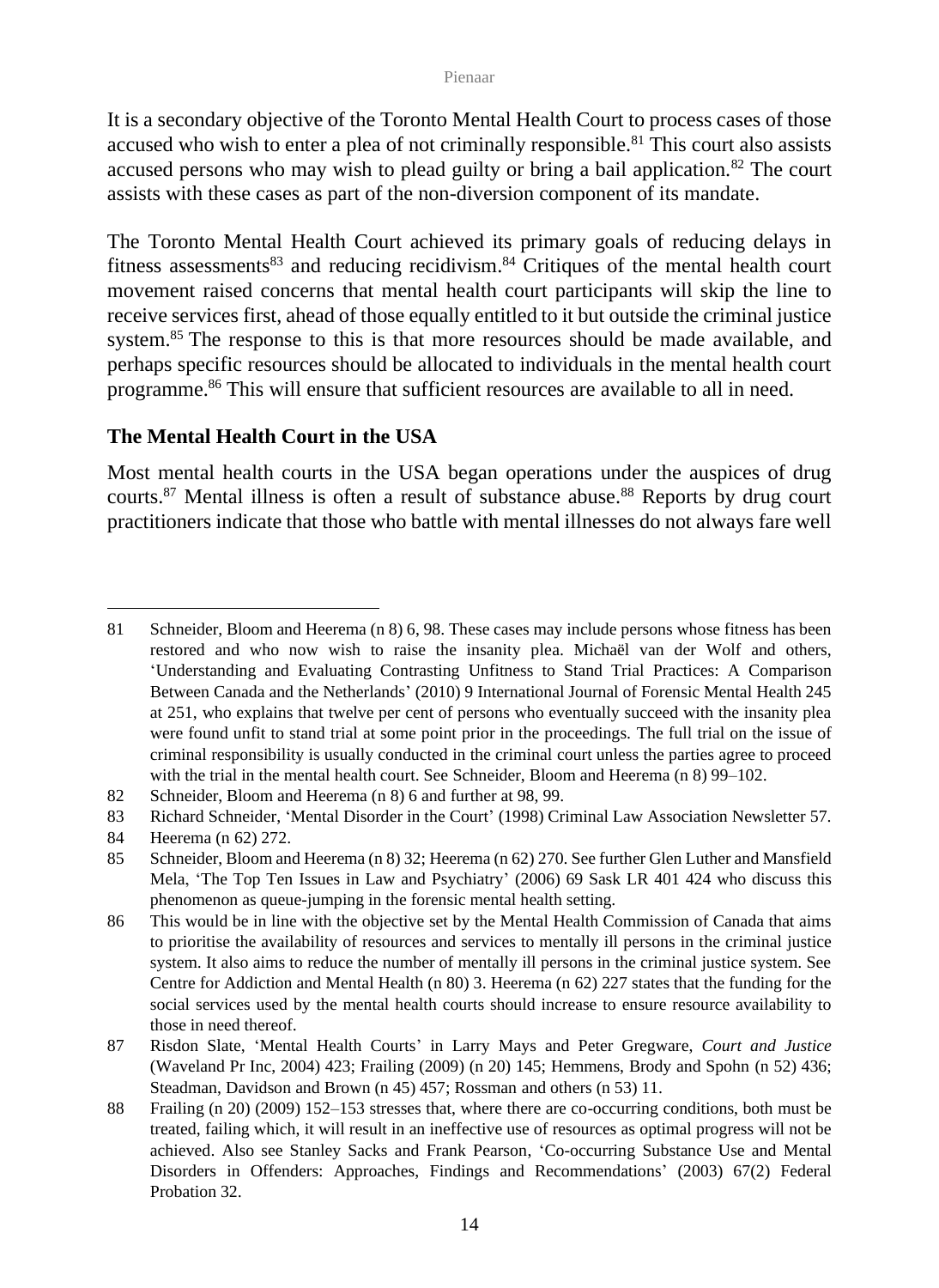It is a secondary objective of the Toronto Mental Health Court to process cases of those accused who wish to enter a plea of not criminally responsible.<sup>81</sup> This court also assists accused persons who may wish to plead guilty or bring a bail application.<sup>82</sup> The court assists with these cases as part of the non-diversion component of its mandate.

The Toronto Mental Health Court achieved its primary goals of reducing delays in fitness assessments<sup>83</sup> and reducing recidivism.<sup>84</sup> Critiques of the mental health court movement raised concerns that mental health court participants will skip the line to receive services first, ahead of those equally entitled to it but outside the criminal justice system.<sup>85</sup> The response to this is that more resources should be made available, and perhaps specific resources should be allocated to individuals in the mental health court programme.<sup>86</sup> This will ensure that sufficient resources are available to all in need.

### **The Mental Health Court in the USA**

Most mental health courts in the USA began operations under the auspices of drug courts.<sup>87</sup> Mental illness is often a result of substance abuse.<sup>88</sup> Reports by drug court practitioners indicate that those who battle with mental illnesses do not always fare well

<sup>81</sup> Schneider, Bloom and Heerema (n 8) 6, 98. These cases may include persons whose fitness has been restored and who now wish to raise the insanity plea. Michaël van der Wolf and others, 'Understanding and Evaluating Contrasting Unfitness to Stand Trial Practices: A Comparison Between Canada and the Netherlands' (2010) 9 International Journal of Forensic Mental Health 245 at 251, who explains that twelve per cent of persons who eventually succeed with the insanity plea were found unfit to stand trial at some point prior in the proceedings. The full trial on the issue of criminal responsibility is usually conducted in the criminal court unless the parties agree to proceed with the trial in the mental health court. See Schneider, Bloom and Heerema (n 8) 99–102.

<sup>82</sup> Schneider, Bloom and Heerema (n 8) 6 and further at 98, 99.

<sup>83</sup> Richard Schneider, 'Mental Disorder in the Court' (1998) Criminal Law Association Newsletter 57.

<sup>84</sup> Heerema (n 62) 272.

<sup>85</sup> Schneider, Bloom and Heerema (n 8) 32; Heerema (n 62) 270. See further Glen Luther and Mansfield Mela, 'The Top Ten Issues in Law and Psychiatry' (2006) 69 Sask LR 401 424 who discuss this phenomenon as queue-jumping in the forensic mental health setting.

<sup>86</sup> This would be in line with the objective set by the Mental Health Commission of Canada that aims to prioritise the availability of resources and services to mentally ill persons in the criminal justice system. It also aims to reduce the number of mentally ill persons in the criminal justice system. See Centre for Addiction and Mental Health (n 80) 3. Heerema (n 62) 227 states that the funding for the social services used by the mental health courts should increase to ensure resource availability to those in need thereof.

<sup>87</sup> Risdon Slate, 'Mental Health Courts' in Larry Mays and Peter Gregware, *Court and Justice* (Waveland Pr Inc, 2004) 423; Frailing (2009) (n 20) 145; Hemmens, Brody and Spohn (n 52) 436; Steadman, Davidson and Brown (n 45) 457; Rossman and others (n 53) 11.

<sup>88</sup> Frailing (n 20) (2009) 152–153 stresses that, where there are co-occurring conditions, both must be treated, failing which, it will result in an ineffective use of resources as optimal progress will not be achieved. Also see Stanley Sacks and Frank Pearson, 'Co-occurring Substance Use and Mental Disorders in Offenders: Approaches, Findings and Recommendations' (2003) 67(2) Federal Probation 32.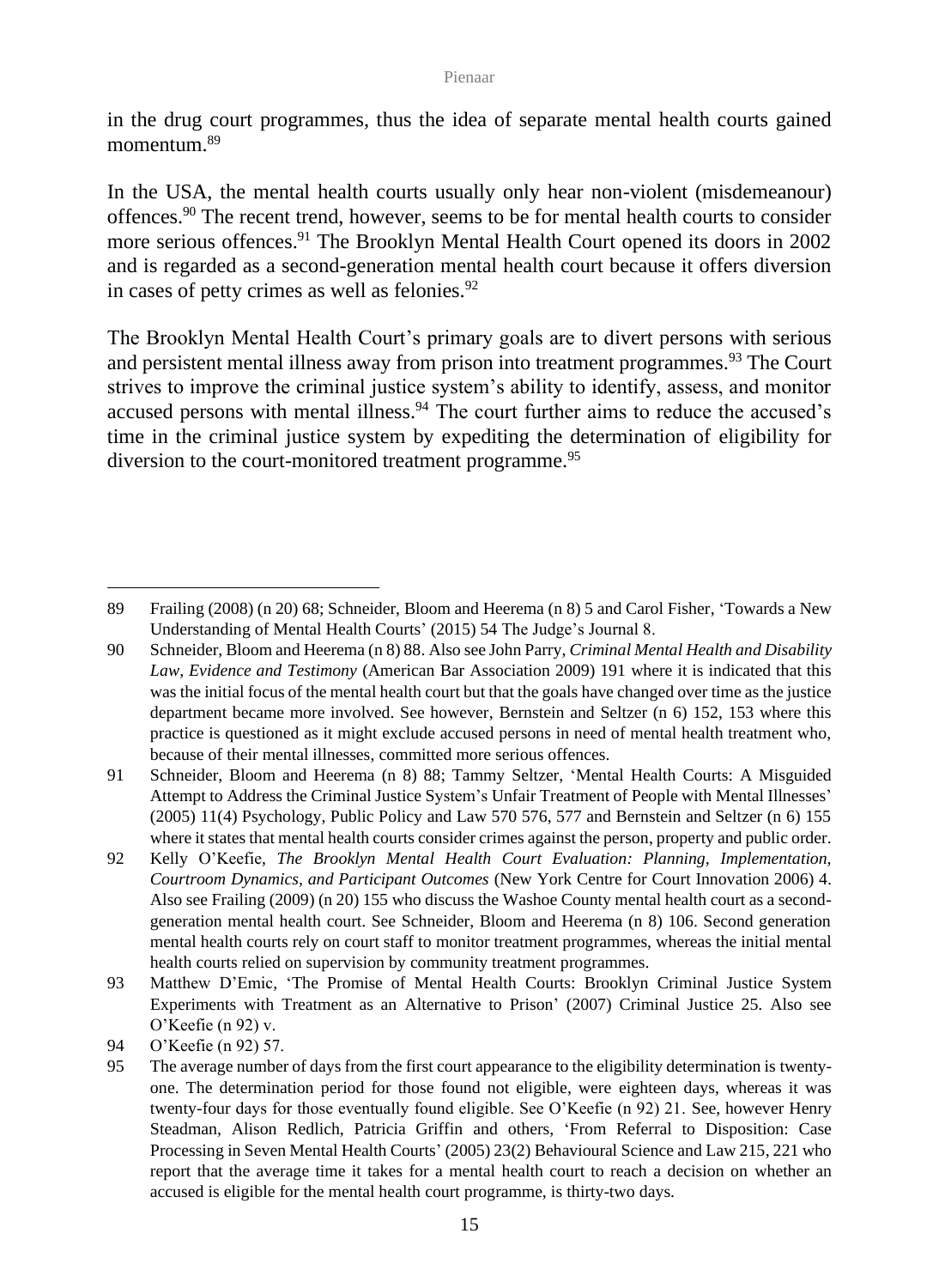in the drug court programmes, thus the idea of separate mental health courts gained momentum.<sup>89</sup>

In the USA, the mental health courts usually only hear non-violent (misdemeanour) offences.<sup>90</sup> The recent trend, however, seems to be for mental health courts to consider more serious offences.<sup>91</sup> The Brooklyn Mental Health Court opened its doors in 2002 and is regarded as a second-generation mental health court because it offers diversion in cases of petty crimes as well as felonies.<sup>92</sup>

The Brooklyn Mental Health Court's primary goals are to divert persons with serious and persistent mental illness away from prison into treatment programmes.<sup>93</sup> The Court strives to improve the criminal justice system's ability to identify, assess, and monitor accused persons with mental illness.<sup>94</sup> The court further aims to reduce the accused's time in the criminal justice system by expediting the determination of eligibility for diversion to the court-monitored treatment programme.<sup>95</sup>

<sup>89</sup> Frailing (2008) (n 20) 68; Schneider, Bloom and Heerema (n 8) 5 and Carol Fisher, 'Towards a New Understanding of Mental Health Courts' (2015) 54 The Judge's Journal 8.

<sup>90</sup> Schneider, Bloom and Heerema (n 8) 88. Also see John Parry, *Criminal Mental Health and Disability Law, Evidence and Testimony* (American Bar Association 2009) 191 where it is indicated that this was the initial focus of the mental health court but that the goals have changed over time as the justice department became more involved. See however, Bernstein and Seltzer (n 6) 152, 153 where this practice is questioned as it might exclude accused persons in need of mental health treatment who, because of their mental illnesses, committed more serious offences.

<sup>91</sup> Schneider, Bloom and Heerema (n 8) 88; Tammy Seltzer, 'Mental Health Courts: A Misguided Attempt to Address the Criminal Justice System's Unfair Treatment of People with Mental Illnesses' (2005) 11(4) Psychology, Public Policy and Law 570 576, 577 and Bernstein and Seltzer (n 6) 155 where it states that mental health courts consider crimes against the person, property and public order.

<sup>92</sup> Kelly O'Keefie, *The Brooklyn Mental Health Court Evaluation: Planning, Implementation, Courtroom Dynamics, and Participant Outcomes* (New York Centre for Court Innovation 2006) 4. Also see Frailing (2009) (n 20) 155 who discuss the Washoe County mental health court as a secondgeneration mental health court. See Schneider, Bloom and Heerema (n 8) 106. Second generation mental health courts rely on court staff to monitor treatment programmes, whereas the initial mental health courts relied on supervision by community treatment programmes.

<sup>93</sup> Matthew D'Emic, 'The Promise of Mental Health Courts: Brooklyn Criminal Justice System Experiments with Treatment as an Alternative to Prison' (2007) Criminal Justice 25. Also see O'Keefie (n 92) v.

<sup>94</sup> O'Keefie (n 92) 57.

<sup>95</sup> The average number of days from the first court appearance to the eligibility determination is twentyone. The determination period for those found not eligible, were eighteen days, whereas it was twenty-four days for those eventually found eligible. See O'Keefie (n 92) 21. See, however Henry Steadman, Alison Redlich, Patricia Griffin and others, 'From Referral to Disposition: Case Processing in Seven Mental Health Courts' (2005) 23(2) Behavioural Science and Law 215, 221 who report that the average time it takes for a mental health court to reach a decision on whether an accused is eligible for the mental health court programme, is thirty-two days.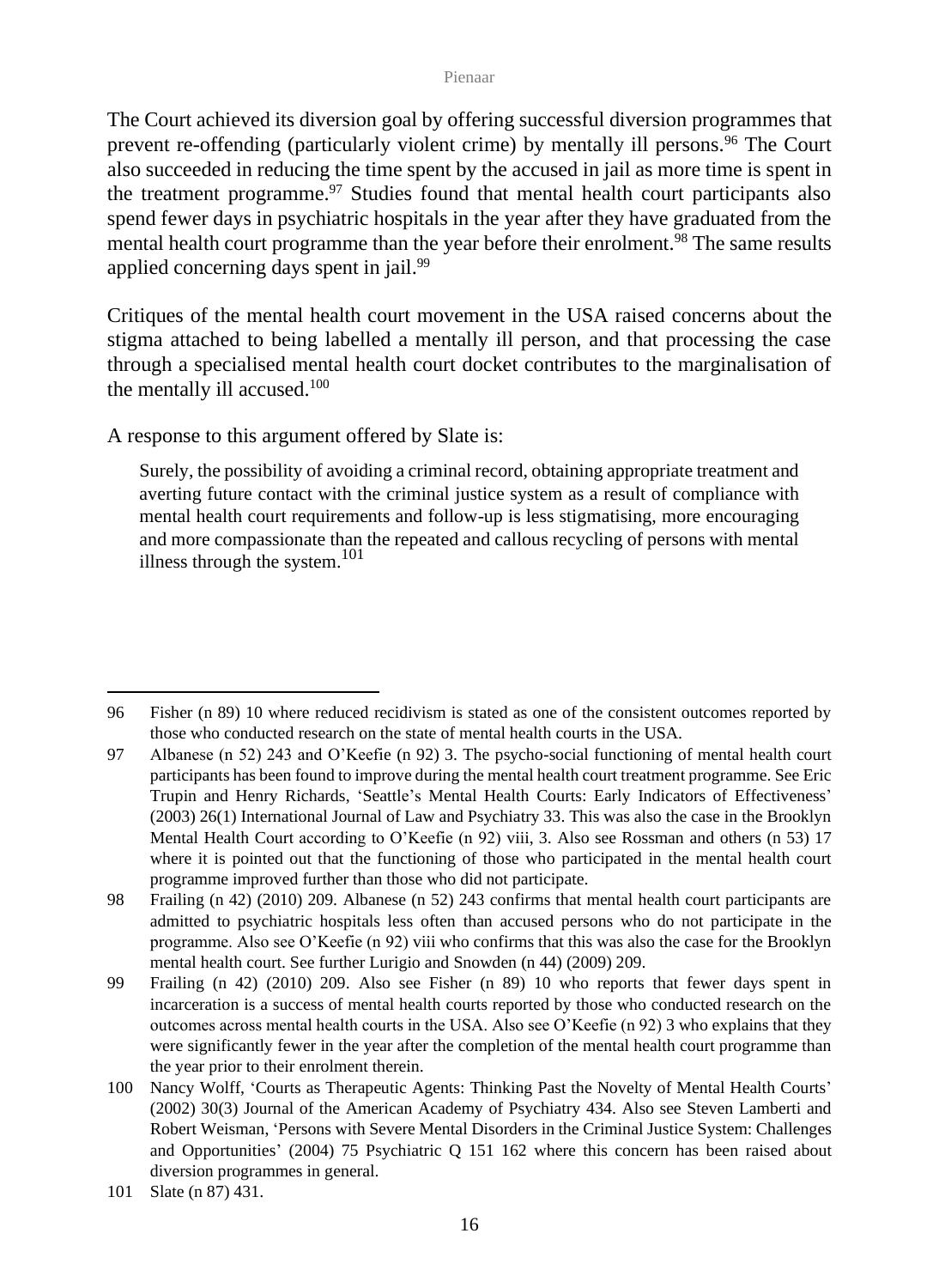The Court achieved its diversion goal by offering successful diversion programmes that prevent re-offending (particularly violent crime) by mentally ill persons.<sup>96</sup> The Court also succeeded in reducing the time spent by the accused in jail as more time is spent in the treatment programme. $97$  Studies found that mental health court participants also spend fewer days in psychiatric hospitals in the year after they have graduated from the mental health court programme than the year before their enrolment.<sup>98</sup> The same results applied concerning days spent in jail.<sup>99</sup>

Critiques of the mental health court movement in the USA raised concerns about the stigma attached to being labelled a mentally ill person, and that processing the case through a specialised mental health court docket contributes to the marginalisation of the mentally ill accused.<sup>100</sup>

A response to this argument offered by Slate is:

Surely, the possibility of avoiding a criminal record, obtaining appropriate treatment and averting future contact with the criminal justice system as a result of compliance with mental health court requirements and follow-up is less stigmatising, more encouraging and more compassionate than the repeated and callous recycling of persons with mental illness through the system. $101$ 

<sup>96</sup> Fisher (n 89) 10 where reduced recidivism is stated as one of the consistent outcomes reported by those who conducted research on the state of mental health courts in the USA.

<sup>97</sup> Albanese (n 52) 243 and O'Keefie (n 92) 3. The psycho-social functioning of mental health court participants has been found to improve during the mental health court treatment programme. See Eric Trupin and Henry Richards, 'Seattle's Mental Health Courts: Early Indicators of Effectiveness' (2003) 26(1) International Journal of Law and Psychiatry 33. This was also the case in the Brooklyn Mental Health Court according to O'Keefie (n 92) viii, 3. Also see Rossman and others (n 53) 17 where it is pointed out that the functioning of those who participated in the mental health court programme improved further than those who did not participate.

<sup>98</sup> Frailing (n 42) (2010) 209. Albanese (n 52) 243 confirms that mental health court participants are admitted to psychiatric hospitals less often than accused persons who do not participate in the programme. Also see O'Keefie (n 92) viii who confirms that this was also the case for the Brooklyn mental health court. See further Lurigio and Snowden (n 44) (2009) 209.

<sup>99</sup> Frailing (n 42) (2010) 209. Also see Fisher (n 89) 10 who reports that fewer days spent in incarceration is a success of mental health courts reported by those who conducted research on the outcomes across mental health courts in the USA. Also see O'Keefie (n 92) 3 who explains that they were significantly fewer in the year after the completion of the mental health court programme than the year prior to their enrolment therein.

<sup>100</sup> Nancy Wolff, 'Courts as Therapeutic Agents: Thinking Past the Novelty of Mental Health Courts' (2002) 30(3) Journal of the American Academy of Psychiatry 434. Also see Steven Lamberti and Robert Weisman, 'Persons with Severe Mental Disorders in the Criminal Justice System: Challenges and Opportunities' (2004) 75 Psychiatric Q 151 162 where this concern has been raised about diversion programmes in general.

<sup>101</sup> Slate (n 87) 431.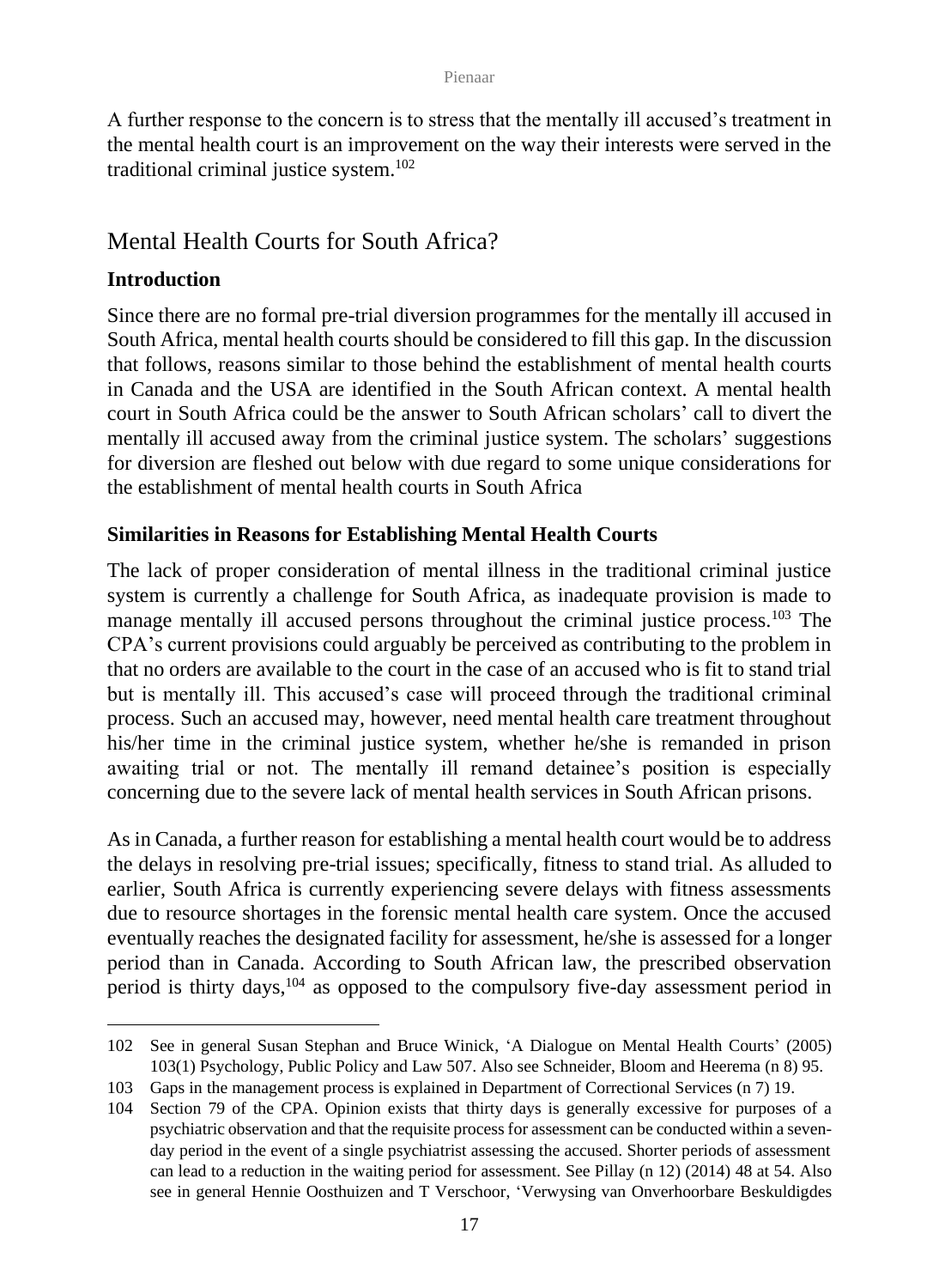A further response to the concern is to stress that the mentally ill accused's treatment in the mental health court is an improvement on the way their interests were served in the traditional criminal justice system.<sup>102</sup>

## Mental Health Courts for South Africa?

## **Introduction**

Since there are no formal pre-trial diversion programmes for the mentally ill accused in South Africa, mental health courts should be considered to fill this gap. In the discussion that follows, reasons similar to those behind the establishment of mental health courts in Canada and the USA are identified in the South African context. A mental health court in South Africa could be the answer to South African scholars' call to divert the mentally ill accused away from the criminal justice system. The scholars' suggestions for diversion are fleshed out below with due regard to some unique considerations for the establishment of mental health courts in South Africa

## **Similarities in Reasons for Establishing Mental Health Courts**

The lack of proper consideration of mental illness in the traditional criminal justice system is currently a challenge for South Africa, as inadequate provision is made to manage mentally ill accused persons throughout the criminal justice process.<sup>103</sup> The CPA's current provisions could arguably be perceived as contributing to the problem in that no orders are available to the court in the case of an accused who is fit to stand trial but is mentally ill. This accused's case will proceed through the traditional criminal process. Such an accused may, however, need mental health care treatment throughout his/her time in the criminal justice system, whether he/she is remanded in prison awaiting trial or not. The mentally ill remand detainee's position is especially concerning due to the severe lack of mental health services in South African prisons.

As in Canada, a further reason for establishing a mental health court would be to address the delays in resolving pre-trial issues; specifically, fitness to stand trial. As alluded to earlier, South Africa is currently experiencing severe delays with fitness assessments due to resource shortages in the forensic mental health care system. Once the accused eventually reaches the designated facility for assessment, he/she is assessed for a longer period than in Canada. According to South African law, the prescribed observation period is thirty days, $104$  as opposed to the compulsory five-day assessment period in

<sup>102</sup> See in general Susan Stephan and Bruce Winick, 'A Dialogue on Mental Health Courts' (2005) 103(1) Psychology, Public Policy and Law 507. Also see Schneider, Bloom and Heerema (n 8) 95.

<sup>103</sup> Gaps in the management process is explained in Department of Correctional Services (n 7) 19.

<sup>104</sup> Section 79 of the CPA. Opinion exists that thirty days is generally excessive for purposes of a psychiatric observation and that the requisite process for assessment can be conducted within a sevenday period in the event of a single psychiatrist assessing the accused. Shorter periods of assessment can lead to a reduction in the waiting period for assessment. See Pillay (n 12) (2014) 48 at 54. Also see in general Hennie Oosthuizen and T Verschoor, 'Verwysing van Onverhoorbare Beskuldigdes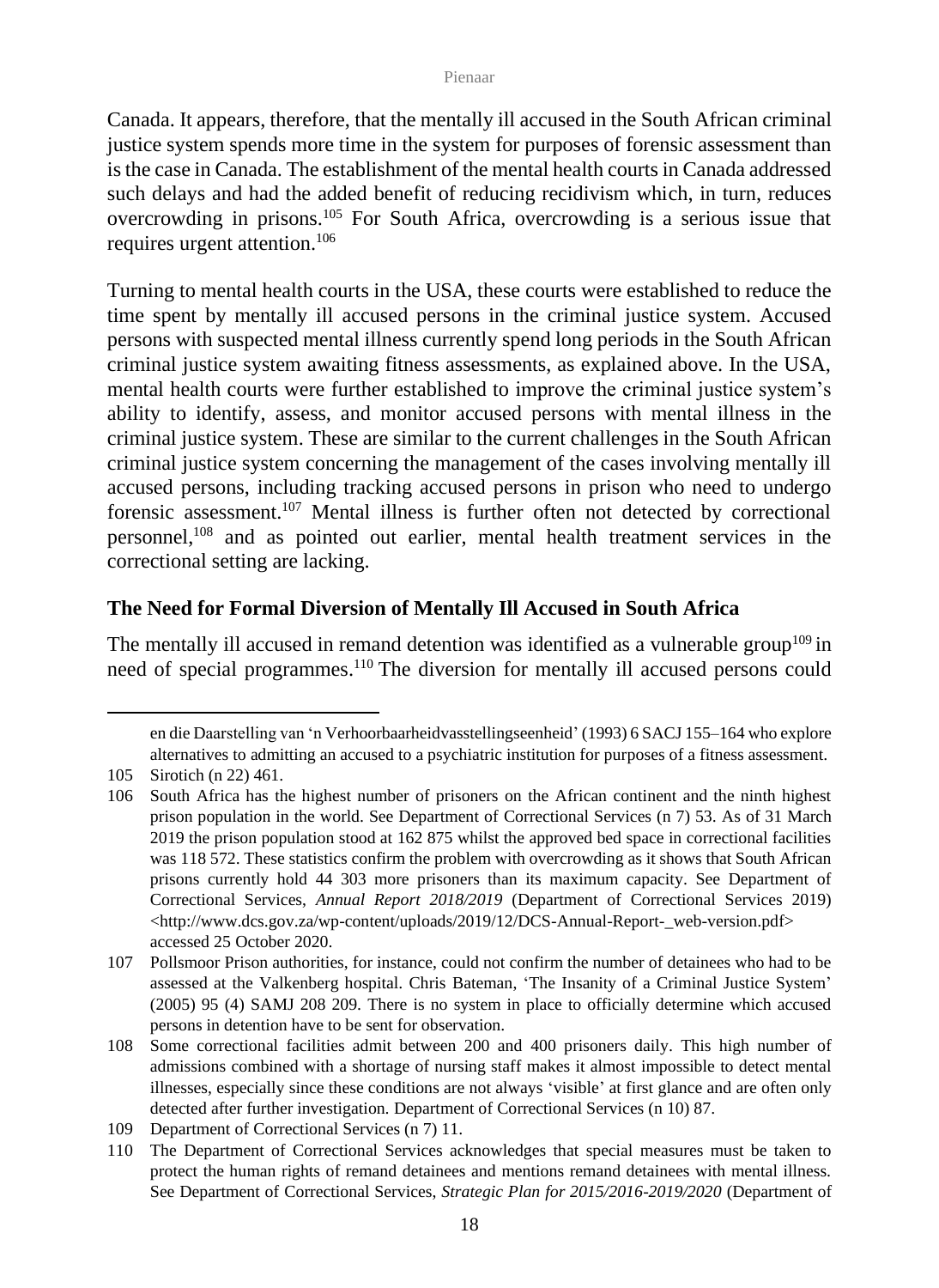Canada. It appears, therefore, that the mentally ill accused in the South African criminal justice system spends more time in the system for purposes of forensic assessment than is the case in Canada. The establishment of the mental health courts in Canada addressed such delays and had the added benefit of reducing recidivism which, in turn, reduces overcrowding in prisons.<sup>105</sup> For South Africa, overcrowding is a serious issue that requires urgent attention.<sup>106</sup>

Turning to mental health courts in the USA, these courts were established to reduce the time spent by mentally ill accused persons in the criminal justice system. Accused persons with suspected mental illness currently spend long periods in the South African criminal justice system awaiting fitness assessments, as explained above. In the USA, mental health courts were further established to improve the criminal justice system's ability to identify, assess, and monitor accused persons with mental illness in the criminal justice system. These are similar to the current challenges in the South African criminal justice system concerning the management of the cases involving mentally ill accused persons, including tracking accused persons in prison who need to undergo forensic assessment.<sup>107</sup> Mental illness is further often not detected by correctional personnel,<sup>108</sup> and as pointed out earlier, mental health treatment services in the correctional setting are lacking.

### **The Need for Formal Diversion of Mentally Ill Accused in South Africa**

The mentally ill accused in remand detention was identified as a vulnerable group<sup>109</sup> in need of special programmes.<sup>110</sup> The diversion for mentally ill accused persons could

en die Daarstelling van 'n Verhoorbaarheidvasstellingseenheid' (1993) 6 SACJ 155–164 who explore alternatives to admitting an accused to a psychiatric institution for purposes of a fitness assessment.

<sup>105</sup> Sirotich (n 22) 461.

<sup>106</sup> South Africa has the highest number of prisoners on the African continent and the ninth highest prison population in the world. See Department of Correctional Services (n 7) 53. As of 31 March 2019 the prison population stood at 162 875 whilst the approved bed space in correctional facilities was 118 572. These statistics confirm the problem with overcrowding as it shows that South African prisons currently hold 44 303 more prisoners than its maximum capacity. See Department of Correctional Services, *Annual Report 2018/2019* (Department of Correctional Services 2019) [<http://www.dcs.gov.za/wp-content/uploads/2019/12/DCS-Annual-Report-\\_web-version.pdf>](http://www.dcs.gov.za/wp-content/uploads/2019/12/DCS-Annual-Report-_web-version.pdf) accessed 25 October 2020.

<sup>107</sup> Pollsmoor Prison authorities, for instance, could not confirm the number of detainees who had to be assessed at the Valkenberg hospital. Chris Bateman, 'The Insanity of a Criminal Justice System' (2005) 95 (4) SAMJ 208 209. There is no system in place to officially determine which accused persons in detention have to be sent for observation.

<sup>108</sup> Some correctional facilities admit between 200 and 400 prisoners daily. This high number of admissions combined with a shortage of nursing staff makes it almost impossible to detect mental illnesses, especially since these conditions are not always 'visible' at first glance and are often only detected after further investigation*.* Department of Correctional Services (n 10) 87.

<sup>109</sup> Department of Correctional Services (n 7) 11.

<sup>110</sup> The Department of Correctional Services acknowledges that special measures must be taken to protect the human rights of remand detainees and mentions remand detainees with mental illness. See Department of Correctional Services, *Strategic Plan for 2015/2016-2019/2020* (Department of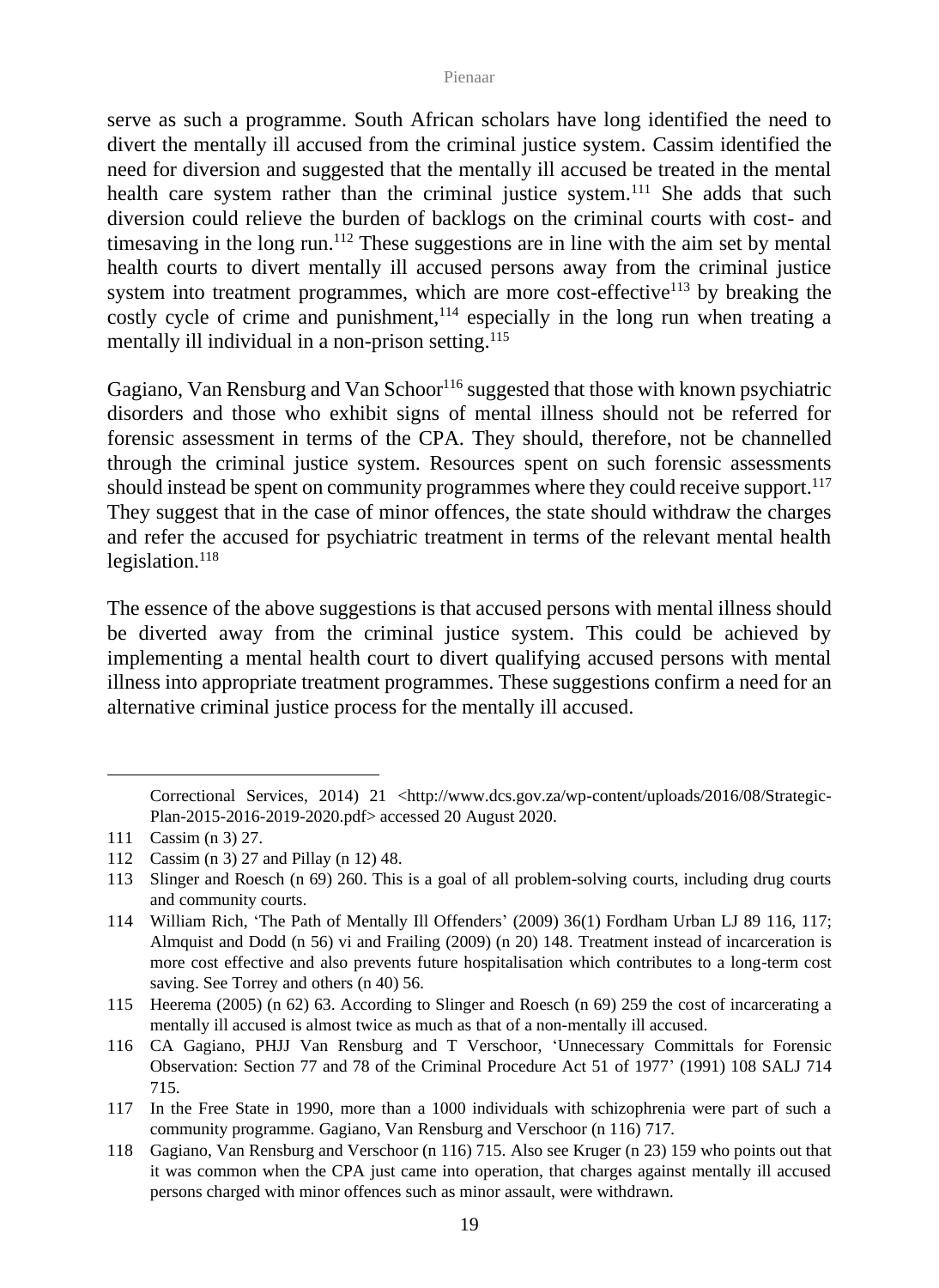serve as such a programme. South African scholars have long identified the need to divert the mentally ill accused from the criminal justice system. Cassim identified the need for diversion and suggested that the mentally ill accused be treated in the mental health care system rather than the criminal justice system.<sup>111</sup> She adds that such diversion could relieve the burden of backlogs on the criminal courts with cost- and timesaving in the long run.<sup>112</sup> These suggestions are in line with the aim set by mental health courts to divert mentally ill accused persons away from the criminal justice system into treatment programmes, which are more cost-effective<sup>113</sup> by breaking the costly cycle of crime and punishment, $114$  especially in the long run when treating a mentally ill individual in a non-prison setting. 115

Gagiano, Van Rensburg and Van Schoor<sup>116</sup> suggested that those with known psychiatric disorders and those who exhibit signs of mental illness should not be referred for forensic assessment in terms of the CPA. They should, therefore, not be channelled through the criminal justice system. Resources spent on such forensic assessments should instead be spent on community programmes where they could receive support.<sup>117</sup> They suggest that in the case of minor offences, the state should withdraw the charges and refer the accused for psychiatric treatment in terms of the relevant mental health legislation. $118$ 

The essence of the above suggestions is that accused persons with mental illness should be diverted away from the criminal justice system. This could be achieved by implementing a mental health court to divert qualifying accused persons with mental illness into appropriate treatment programmes. These suggestions confirm a need for an alternative criminal justice process for the mentally ill accused.

Correctional Services, 2014) 21 <http://www.dcs.gov.za/wp-content/uploads/2016/08/Strategic-Plan-2015-2016-2019-2020.pdf> accessed 20 August 2020.

<sup>111</sup> Cassim (n 3) 27.

<sup>112</sup> Cassim (n 3) 27 and Pillay (n 12) 48.

<sup>113</sup> Slinger and Roesch (n 69) 260. This is a goal of all problem-solving courts, including drug courts and community courts.

<sup>114</sup> William Rich, 'The Path of Mentally Ill Offenders' (2009) 36(1) Fordham Urban LJ 89 116, 117; Almquist and Dodd (n 56) vi and Frailing (2009) (n 20) 148. Treatment instead of incarceration is more cost effective and also prevents future hospitalisation which contributes to a long-term cost saving. See Torrey and others (n 40) 56.

<sup>115</sup> Heerema (2005) (n 62) 63. According to Slinger and Roesch (n 69) 259 the cost of incarcerating a mentally ill accused is almost twice as much as that of a non-mentally ill accused.

<sup>116</sup> CA Gagiano, PHJJ Van Rensburg and T Verschoor, 'Unnecessary Committals for Forensic Observation: Section 77 and 78 of the Criminal Procedure Act 51 of 1977' (1991) 108 SALJ 714 715.

<sup>117</sup> In the Free State in 1990, more than a 1000 individuals with schizophrenia were part of such a community programme. Gagiano, Van Rensburg and Verschoor (n 116) 717*.*

<sup>118</sup> Gagiano, Van Rensburg and Verschoor (n 116) 715*.* Also see Kruger (n 23) 159 who points out that it was common when the CPA just came into operation, that charges against mentally ill accused persons charged with minor offences such as minor assault, were withdrawn.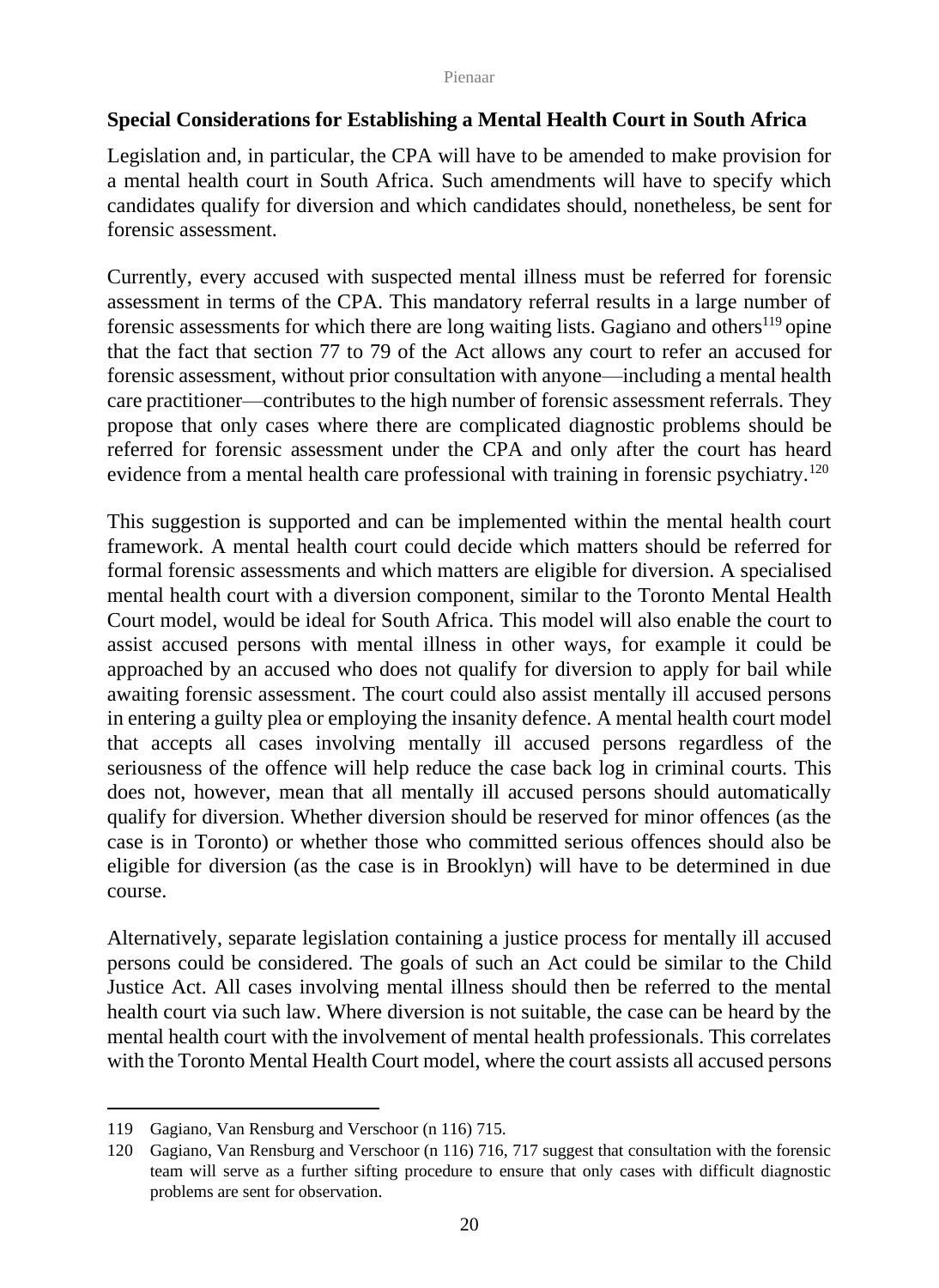## **Special Considerations for Establishing a Mental Health Court in South Africa**

Legislation and, in particular, the CPA will have to be amended to make provision for a mental health court in South Africa. Such amendments will have to specify which candidates qualify for diversion and which candidates should, nonetheless, be sent for forensic assessment.

Currently, every accused with suspected mental illness must be referred for forensic assessment in terms of the CPA. This mandatory referral results in a large number of forensic assessments for which there are long waiting lists. Gagiano and others<sup>119</sup> opine that the fact that section 77 to 79 of the Act allows any court to refer an accused for forensic assessment, without prior consultation with anyone—including a mental health care practitioner—contributes to the high number of forensic assessment referrals. They propose that only cases where there are complicated diagnostic problems should be referred for forensic assessment under the CPA and only after the court has heard evidence from a mental health care professional with training in forensic psychiatry.<sup>120</sup>

This suggestion is supported and can be implemented within the mental health court framework. A mental health court could decide which matters should be referred for formal forensic assessments and which matters are eligible for diversion. A specialised mental health court with a diversion component, similar to the Toronto Mental Health Court model, would be ideal for South Africa. This model will also enable the court to assist accused persons with mental illness in other ways, for example it could be approached by an accused who does not qualify for diversion to apply for bail while awaiting forensic assessment. The court could also assist mentally ill accused persons in entering a guilty plea or employing the insanity defence. A mental health court model that accepts all cases involving mentally ill accused persons regardless of the seriousness of the offence will help reduce the case back log in criminal courts. This does not, however, mean that all mentally ill accused persons should automatically qualify for diversion. Whether diversion should be reserved for minor offences (as the case is in Toronto) or whether those who committed serious offences should also be eligible for diversion (as the case is in Brooklyn) will have to be determined in due course.

Alternatively, separate legislation containing a justice process for mentally ill accused persons could be considered. The goals of such an Act could be similar to the Child Justice Act. All cases involving mental illness should then be referred to the mental health court via such law. Where diversion is not suitable, the case can be heard by the mental health court with the involvement of mental health professionals. This correlates with the Toronto Mental Health Court model, where the court assists all accused persons

<sup>119</sup> Gagiano, Van Rensburg and Verschoor (n 116) 715.

<sup>120</sup> Gagiano, Van Rensburg and Verschoor (n 116) 716, 717 suggest that consultation with the forensic team will serve as a further sifting procedure to ensure that only cases with difficult diagnostic problems are sent for observation.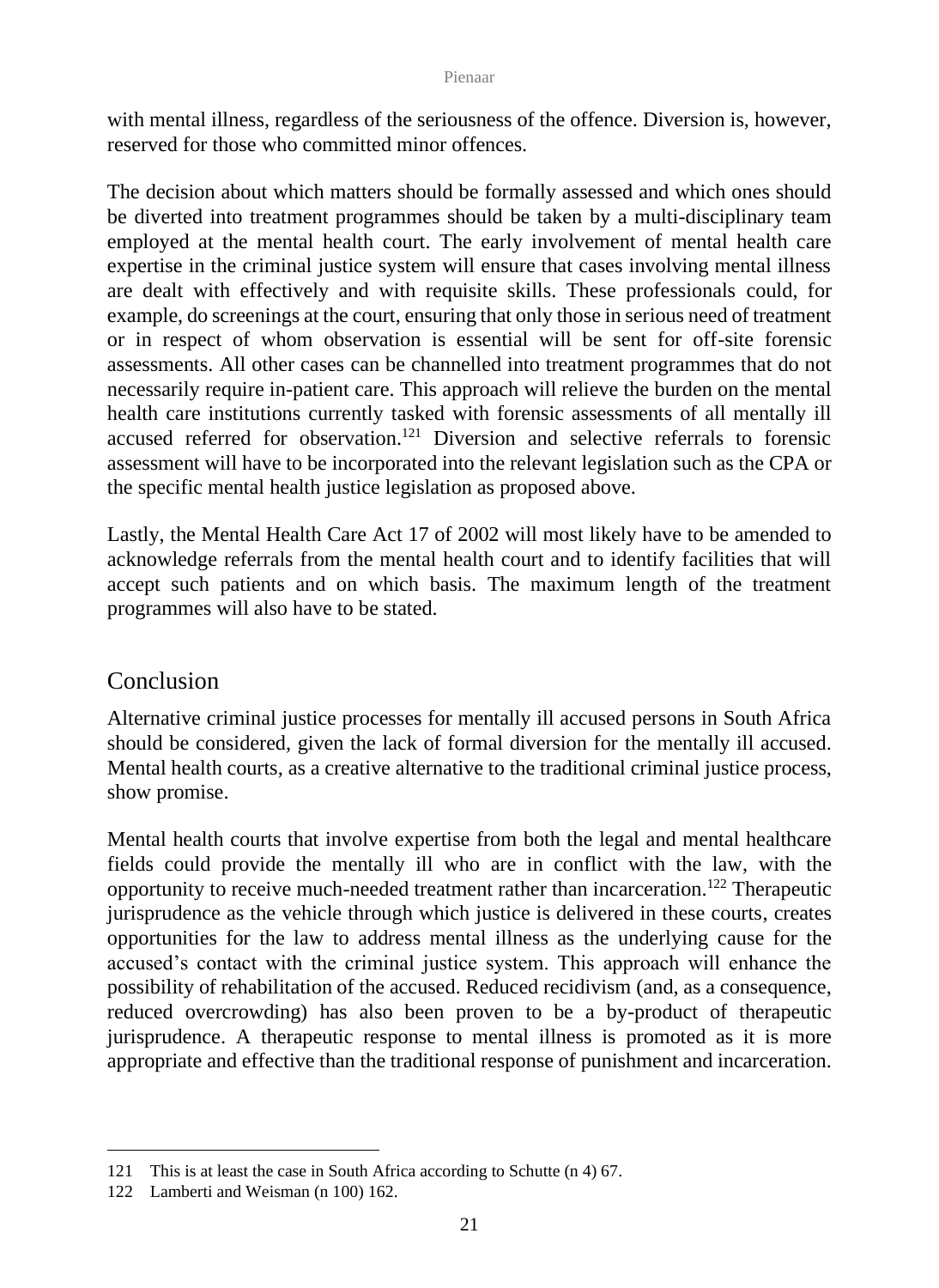with mental illness, regardless of the seriousness of the offence. Diversion is, however, reserved for those who committed minor offences.

The decision about which matters should be formally assessed and which ones should be diverted into treatment programmes should be taken by a multi-disciplinary team employed at the mental health court. The early involvement of mental health care expertise in the criminal justice system will ensure that cases involving mental illness are dealt with effectively and with requisite skills. These professionals could, for example, do screenings at the court, ensuring that only those in serious need of treatment or in respect of whom observation is essential will be sent for off-site forensic assessments. All other cases can be channelled into treatment programmes that do not necessarily require in-patient care. This approach will relieve the burden on the mental health care institutions currently tasked with forensic assessments of all mentally ill accused referred for observation.<sup>121</sup> Diversion and selective referrals to forensic assessment will have to be incorporated into the relevant legislation such as the CPA or the specific mental health justice legislation as proposed above.

Lastly, the Mental Health Care Act 17 of 2002 will most likely have to be amended to acknowledge referrals from the mental health court and to identify facilities that will accept such patients and on which basis. The maximum length of the treatment programmes will also have to be stated.

## Conclusion

Alternative criminal justice processes for mentally ill accused persons in South Africa should be considered, given the lack of formal diversion for the mentally ill accused. Mental health courts, as a creative alternative to the traditional criminal justice process, show promise.

Mental health courts that involve expertise from both the legal and mental healthcare fields could provide the mentally ill who are in conflict with the law, with the opportunity to receive much-needed treatment rather than incarceration.<sup>122</sup> Therapeutic jurisprudence as the vehicle through which justice is delivered in these courts, creates opportunities for the law to address mental illness as the underlying cause for the accused's contact with the criminal justice system. This approach will enhance the possibility of rehabilitation of the accused. Reduced recidivism (and, as a consequence, reduced overcrowding) has also been proven to be a by-product of therapeutic jurisprudence. A therapeutic response to mental illness is promoted as it is more appropriate and effective than the traditional response of punishment and incarceration.

<sup>121</sup> This is at least the case in South Africa according to Schutte (n 4) 67.

<sup>122</sup> Lamberti and Weisman (n 100) 162.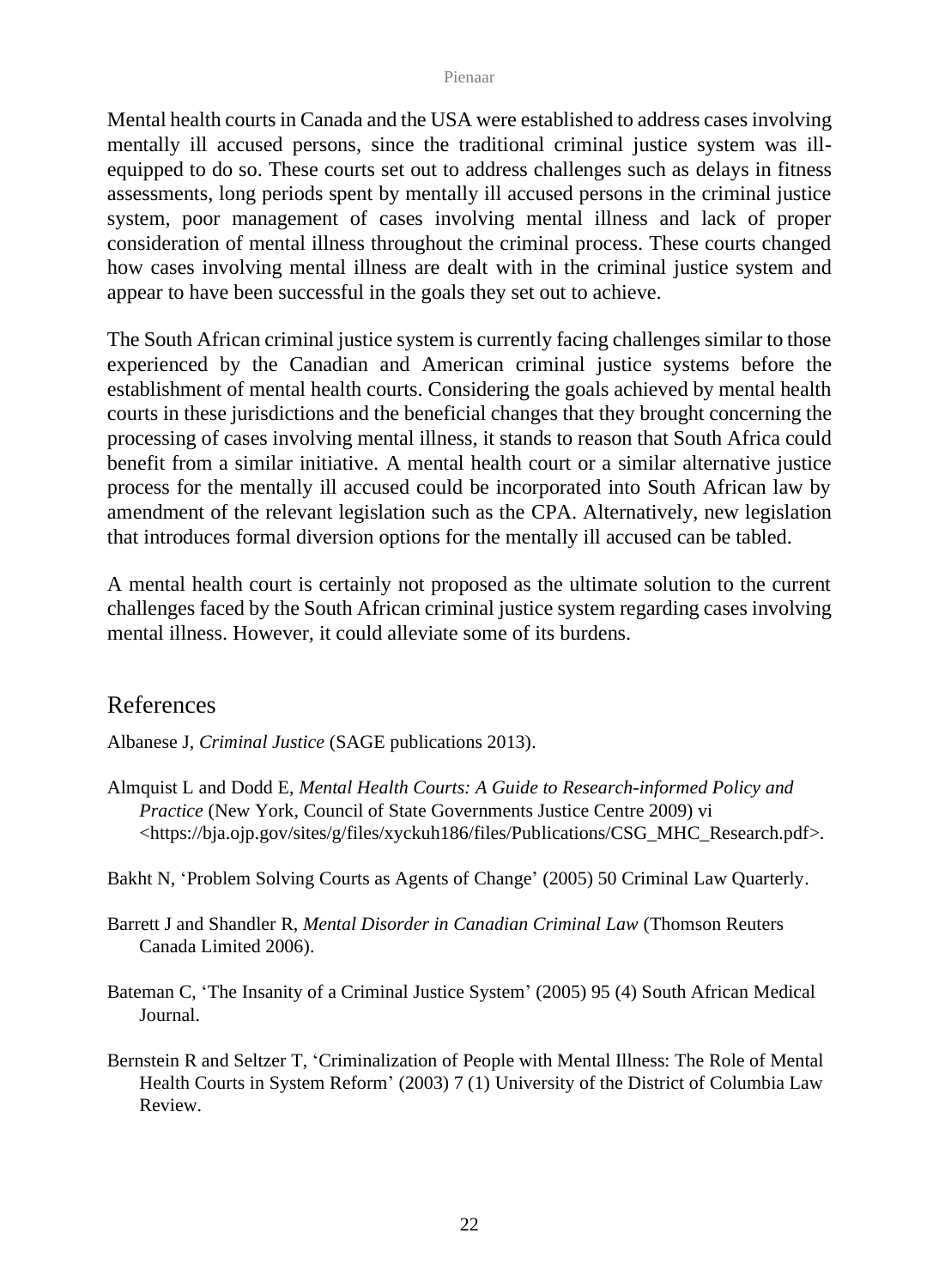Mental health courts in Canada and the USA were established to address cases involving mentally ill accused persons, since the traditional criminal justice system was illequipped to do so. These courts set out to address challenges such as delays in fitness assessments, long periods spent by mentally ill accused persons in the criminal justice system, poor management of cases involving mental illness and lack of proper consideration of mental illness throughout the criminal process. These courts changed how cases involving mental illness are dealt with in the criminal justice system and appear to have been successful in the goals they set out to achieve.

The South African criminal justice system is currently facing challenges similar to those experienced by the Canadian and American criminal justice systems before the establishment of mental health courts. Considering the goals achieved by mental health courts in these jurisdictions and the beneficial changes that they brought concerning the processing of cases involving mental illness, it stands to reason that South Africa could benefit from a similar initiative. A mental health court or a similar alternative justice process for the mentally ill accused could be incorporated into South African law by amendment of the relevant legislation such as the CPA. Alternatively, new legislation that introduces formal diversion options for the mentally ill accused can be tabled.

A mental health court is certainly not proposed as the ultimate solution to the current challenges faced by the South African criminal justice system regarding cases involving mental illness. However, it could alleviate some of its burdens.

## References

Albanese J, *Criminal Justice* (SAGE publications 2013).

- Almquist L and Dodd E, *Mental Health Courts: A Guide to Research-informed Policy and Practice* (New York, Council of State Governments Justice Centre 2009) vi [<https://bja.ojp.gov/sites/g/files/xyckuh186/files/Publications/CSG\\_MHC\\_Research.pdf>](https://bja.ojp.gov/sites/g/files/xyckuh186/files/Publications/CSG_MHC_Research.pdf).
- Bakht N, 'Problem Solving Courts as Agents of Change' (2005) 50 Criminal Law Quarterly.
- Barrett J and Shandler R, *Mental Disorder in Canadian Criminal Law* (Thomson Reuters Canada Limited 2006).
- Bateman C, 'The Insanity of a Criminal Justice System' (2005) 95 (4) South African Medical Journal.
- Bernstein R and Seltzer T, 'Criminalization of People with Mental Illness: The Role of Mental Health Courts in System Reform' (2003) 7 (1) University of the District of Columbia Law Review.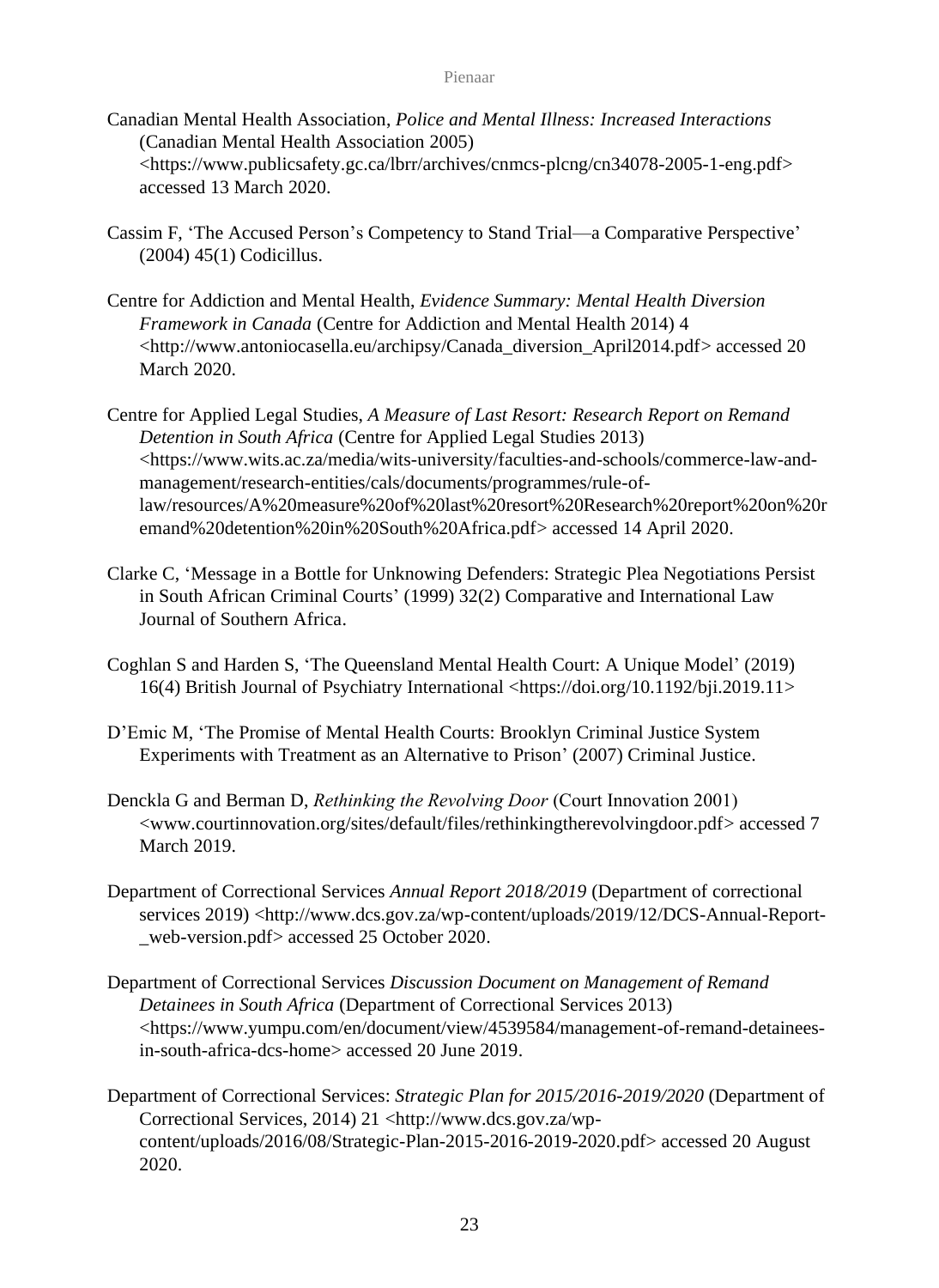- Canadian Mental Health Association, *Police and Mental Illness: Increased Interactions* (Canadian Mental Health Association 2005) <https://www.publicsafety.gc.ca/lbrr/archives/cnmcs-plcng/cn34078-2005-1-eng.pdf> accessed 13 March 2020.
- Cassim F, 'The Accused Person's Competency to Stand Trial—a Comparative Perspective' (2004) 45(1) Codicillus.
- Centre for Addiction and Mental Health, *Evidence Summary: Mental Health Diversion Framework in Canada* (Centre for Addiction and Mental Health 2014) 4 [<http://www.antoniocasella.eu/archipsy/Canada\\_diversion\\_April2014.pdf>](http://www.antoniocasella.eu/archipsy/Canada_diversion_April2014.pdf) accessed 20 March 2020.
- Centre for Applied Legal Studies, *A Measure of Last Resort: Research Report on Remand Detention in South Africa* (Centre for Applied Legal Studies 2013) [<https://www.wits.ac.za/media/wits-university/faculties-and-schools/commerce-law-and](https://www.wits.ac.za/media/wits-university/faculties-and-schools/commerce-law-and-management/research-entities/cals/documents/programmes/rule-of-law/resources/A%20measure%20of%20last%20resort%20Research%20report%20on%20remand%20detention%20in%20South%20Africa.pdf)[management/research-entities/cals/documents/programmes/rule-of](https://www.wits.ac.za/media/wits-university/faculties-and-schools/commerce-law-and-management/research-entities/cals/documents/programmes/rule-of-law/resources/A%20measure%20of%20last%20resort%20Research%20report%20on%20remand%20detention%20in%20South%20Africa.pdf)[law/resources/A%20measure%20of%20last%20resort%20Research%20report%20on%20r](https://www.wits.ac.za/media/wits-university/faculties-and-schools/commerce-law-and-management/research-entities/cals/documents/programmes/rule-of-law/resources/A%20measure%20of%20last%20resort%20Research%20report%20on%20remand%20detention%20in%20South%20Africa.pdf) [emand%20detention%20in%20South%20Africa.pdf>](https://www.wits.ac.za/media/wits-university/faculties-and-schools/commerce-law-and-management/research-entities/cals/documents/programmes/rule-of-law/resources/A%20measure%20of%20last%20resort%20Research%20report%20on%20remand%20detention%20in%20South%20Africa.pdf) accessed 14 April 2020.
- Clarke C, 'Message in a Bottle for Unknowing Defenders: Strategic Plea Negotiations Persist in South African Criminal Courts' (1999) 32(2) Comparative and International Law Journal of Southern Africa.
- Coghlan S and Harden S, 'The Queensland Mental Health Court: A Unique Model' (2019) 16(4) British Journal of Psychiatry International <https://doi.org/10.1192/bji.2019.11>
- D'Emic M, 'The Promise of Mental Health Courts: Brooklyn Criminal Justice System Experiments with Treatment as an Alternative to Prison' (2007) Criminal Justice.
- Denckla G and Berman D, *Rethinking the Revolving Door* (Court Innovation 2001) [<www.courtinnovation.org/sites/default/files/rethinkingtherevolvingdoor.pdf>](http://www.courtinnovation.org/sites/default/files/rethinkingtherevolvingdoor.pdf) accessed 7 March 2019.
- Department of Correctional Services *Annual Report 2018/2019* (Department of correctional services 2019) [<http://www.dcs.gov.za/wp-content/uploads/2019/12/DCS-Annual-Report-](http://www.dcs.gov.za/wp-content/uploads/2019/12/DCS-Annual-Report-_web-version.pdf) [\\_web-version.pdf>](http://www.dcs.gov.za/wp-content/uploads/2019/12/DCS-Annual-Report-_web-version.pdf) accessed 25 October 2020.
- Department of Correctional Services *Discussion Document on Management of Remand Detainees in South Africa* (Department of Correctional Services 2013) <https://www.yumpu.com/en/document/view/4539584/management-of-remand-detaineesin-south-africa-dcs-home> accessed 20 June 2019.
- Department of Correctional Services: *Strategic Plan for 2015/2016-2019/2020* (Department of Correctional Services, 2014) 21 <http://www.dcs.gov.za/wpcontent/uploads/2016/08/Strategic-Plan-2015-2016-2019-2020.pdf> accessed 20 August 2020.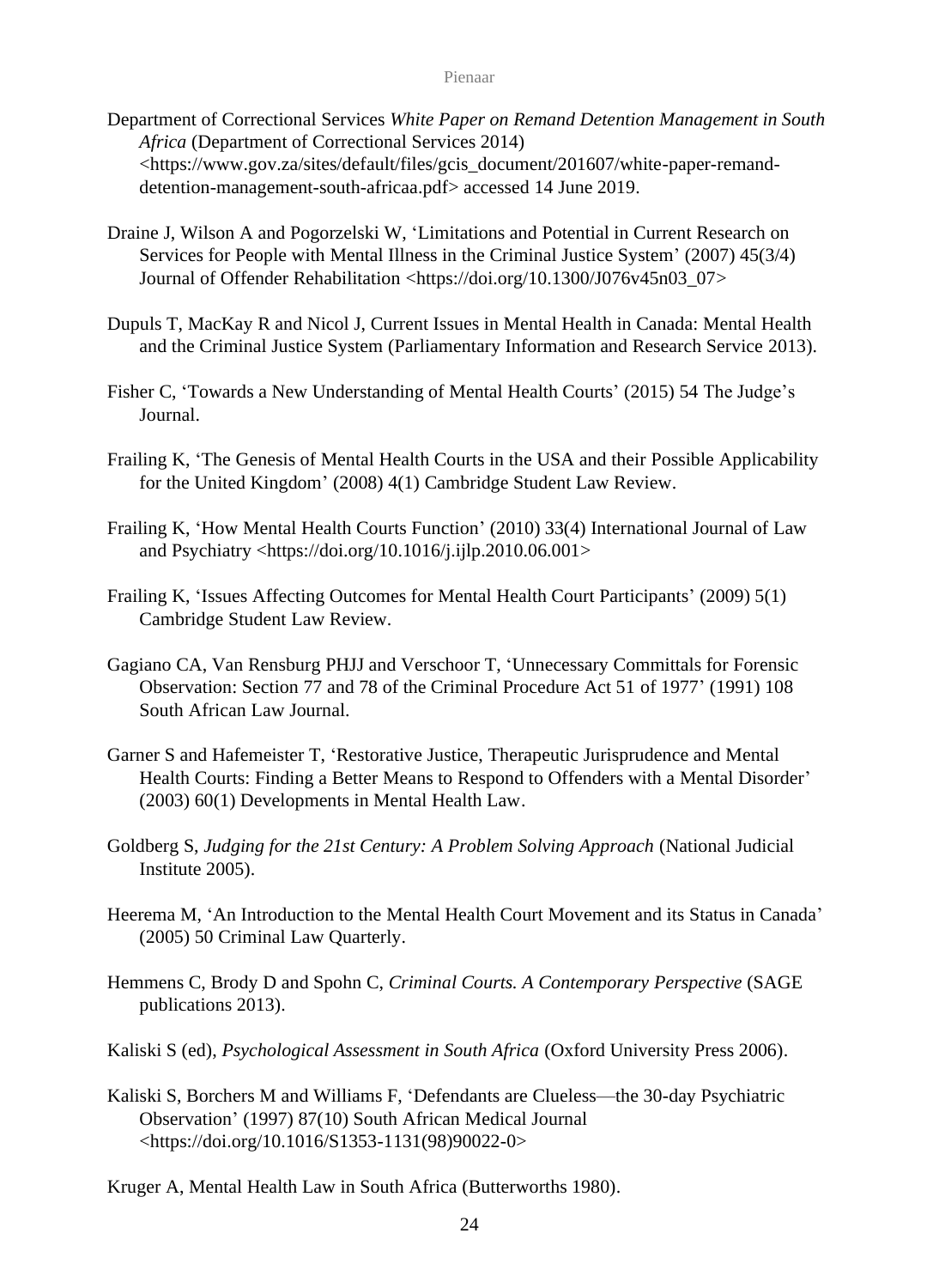- Department of Correctional Services *White Paper on Remand Detention Management in South Africa* (Department of Correctional Services 2014) [<https://www.gov.za/sites/default/files/gcis\\_document/201607/white-paper-remand](https://www.gov.za/sites/default/files/gcis_document/201607/white-paper-remand-detention-management-south-africaa.pdf)[detention-management-south-africaa.pdf>](https://www.gov.za/sites/default/files/gcis_document/201607/white-paper-remand-detention-management-south-africaa.pdf) accessed 14 June 2019.
- Draine J, Wilson A and Pogorzelski W, 'Limitations and Potential in Current Research on Services for People with Mental Illness in the Criminal Justice System' (2007) 45(3/4) Journal of Offender Rehabilitation <https://doi.org/10.1300/J076v45n03\_07>
- Dupuls T, MacKay R and Nicol J, Current Issues in Mental Health in Canada: Mental Health and the Criminal Justice System (Parliamentary Information and Research Service 2013).
- Fisher C, 'Towards a New Understanding of Mental Health Courts' (2015) 54 The Judge's Journal.
- Frailing K, 'The Genesis of Mental Health Courts in the USA and their Possible Applicability for the United Kingdom' (2008) 4(1) Cambridge Student Law Review.
- Frailing K, 'How Mental Health Courts Function' (2010) 33(4) International Journal of Law and Psychiatry <https://doi.org/10.1016/j.ijlp.2010.06.001>
- Frailing K, 'Issues Affecting Outcomes for Mental Health Court Participants' (2009) 5(1) Cambridge Student Law Review.
- Gagiano CA, Van Rensburg PHJJ and Verschoor T, 'Unnecessary Committals for Forensic Observation: Section 77 and 78 of the Criminal Procedure Act 51 of 1977' (1991) 108 South African Law Journal.
- Garner S and Hafemeister T, 'Restorative Justice, Therapeutic Jurisprudence and Mental Health Courts: Finding a Better Means to Respond to Offenders with a Mental Disorder' (2003) 60(1) Developments in Mental Health Law.
- Goldberg S, *Judging for the 21st Century: A Problem Solving Approach* (National Judicial Institute 2005).
- Heerema M, 'An Introduction to the Mental Health Court Movement and its Status in Canada' (2005) 50 Criminal Law Quarterly.
- Hemmens C, Brody D and Spohn C, *Criminal Courts. A Contemporary Perspective* (SAGE publications 2013).
- Kaliski S (ed), *Psychological Assessment in South Africa* (Oxford University Press 2006).
- Kaliski S, Borchers M and Williams F, 'Defendants are Clueless—the 30-day Psychiatric Observation' (1997) 87(10) South African Medical Journal <https://doi.org/10.1016/S1353-1131(98)90022-0>
- Kruger A, Mental Health Law in South Africa (Butterworths 1980).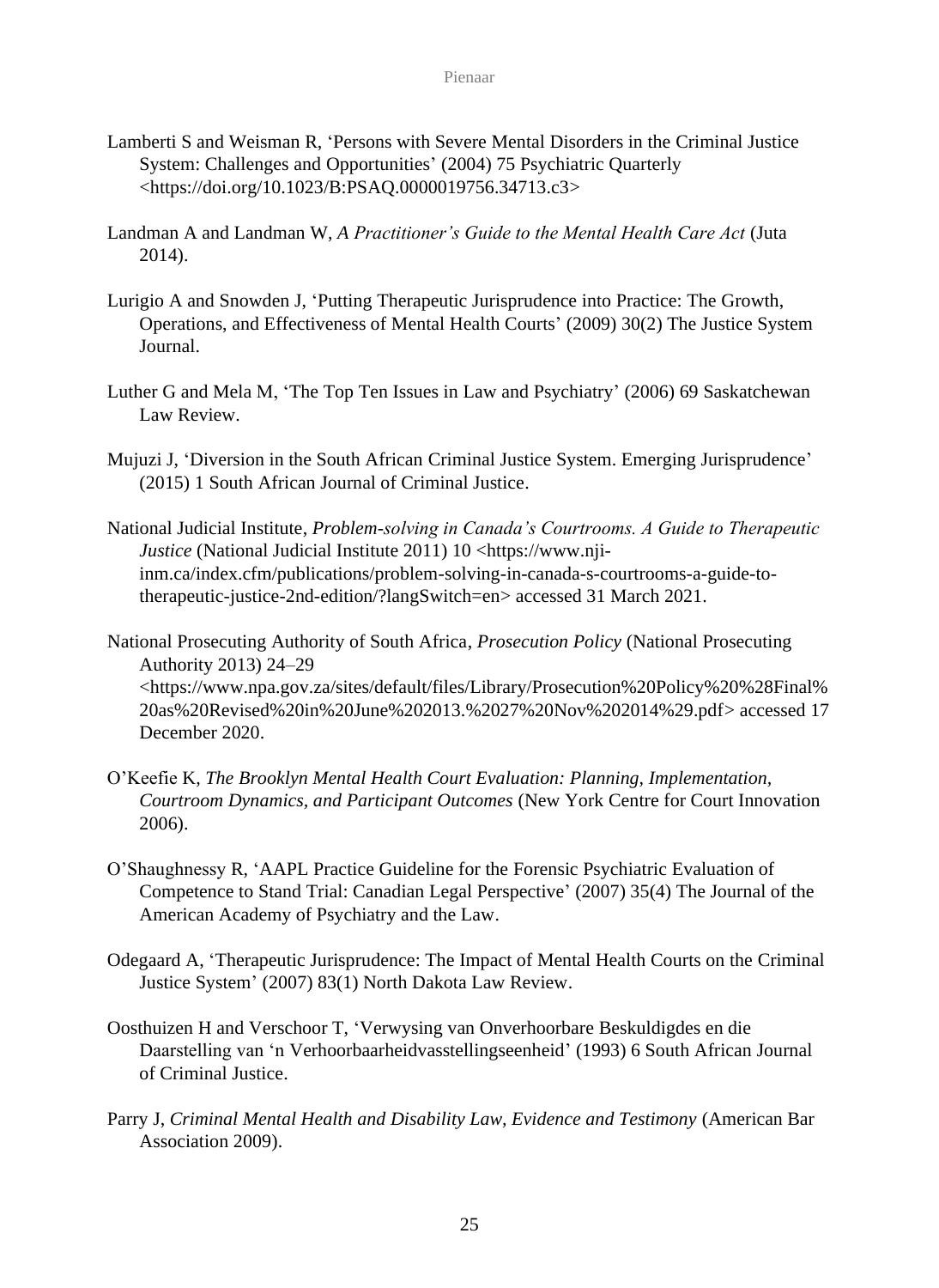- Lamberti S and Weisman R, 'Persons with Severe Mental Disorders in the Criminal Justice System: Challenges and Opportunities' (2004) 75 Psychiatric Quarterly <https://doi.org/10.1023/B:PSAQ.0000019756.34713.c3>
- Landman A and Landman W, *A Practitioner's Guide to the Mental Health Care Act* (Juta 2014).
- Lurigio A and Snowden J, 'Putting Therapeutic Jurisprudence into Practice: The Growth, Operations, and Effectiveness of Mental Health Courts' (2009) 30(2) The Justice System Journal.
- Luther G and Mela M, 'The Top Ten Issues in Law and Psychiatry' (2006) 69 Saskatchewan Law Review.
- Mujuzi J, 'Diversion in the South African Criminal Justice System. Emerging Jurisprudence' (2015) 1 South African Journal of Criminal Justice.
- National Judicial Institute, *Problem-solving in Canada's Courtrooms. A Guide to Therapeutic Justice* (National Judicial Institute 2011) 10 [<https://www.nji](https://www.nji-inm.ca/index.cfm/publications/problem-solving-in-canada-s-courtrooms-a-guide-to-therapeutic-justice-2nd-edition/?langSwitch=en)[inm.ca/index.cfm/publications/problem-solving-in-canada-s-courtrooms-a-guide-to](https://www.nji-inm.ca/index.cfm/publications/problem-solving-in-canada-s-courtrooms-a-guide-to-therapeutic-justice-2nd-edition/?langSwitch=en)[therapeutic-justice-2nd-edition/?langSwitch=en>](https://www.nji-inm.ca/index.cfm/publications/problem-solving-in-canada-s-courtrooms-a-guide-to-therapeutic-justice-2nd-edition/?langSwitch=en) accessed 31 March 2021.
- National Prosecuting Authority of South Africa, *Prosecution Policy* (National Prosecuting Authority 2013) 24–29 <https://www.npa.gov.za/sites/default/files/Library/Prosecution%20Policy%20%28Final% 20as%20Revised%20in%20June%202013.%2027%20Nov%202014%29.pdf> accessed 17 December 2020.
- O'Keefie K, *The Brooklyn Mental Health Court Evaluation: Planning, Implementation, Courtroom Dynamics, and Participant Outcomes* (New York Centre for Court Innovation 2006).
- O'Shaughnessy R, 'AAPL Practice Guideline for the Forensic Psychiatric Evaluation of Competence to Stand Trial: Canadian Legal Perspective' (2007) 35(4) The Journal of the American Academy of Psychiatry and the Law.
- Odegaard A, 'Therapeutic Jurisprudence: The Impact of Mental Health Courts on the Criminal Justice System' (2007) 83(1) North Dakota Law Review.
- Oosthuizen H and Verschoor T, 'Verwysing van Onverhoorbare Beskuldigdes en die Daarstelling van 'n Verhoorbaarheidvasstellingseenheid' (1993) 6 South African Journal of Criminal Justice.
- Parry J, *Criminal Mental Health and Disability Law, Evidence and Testimony* (American Bar Association 2009).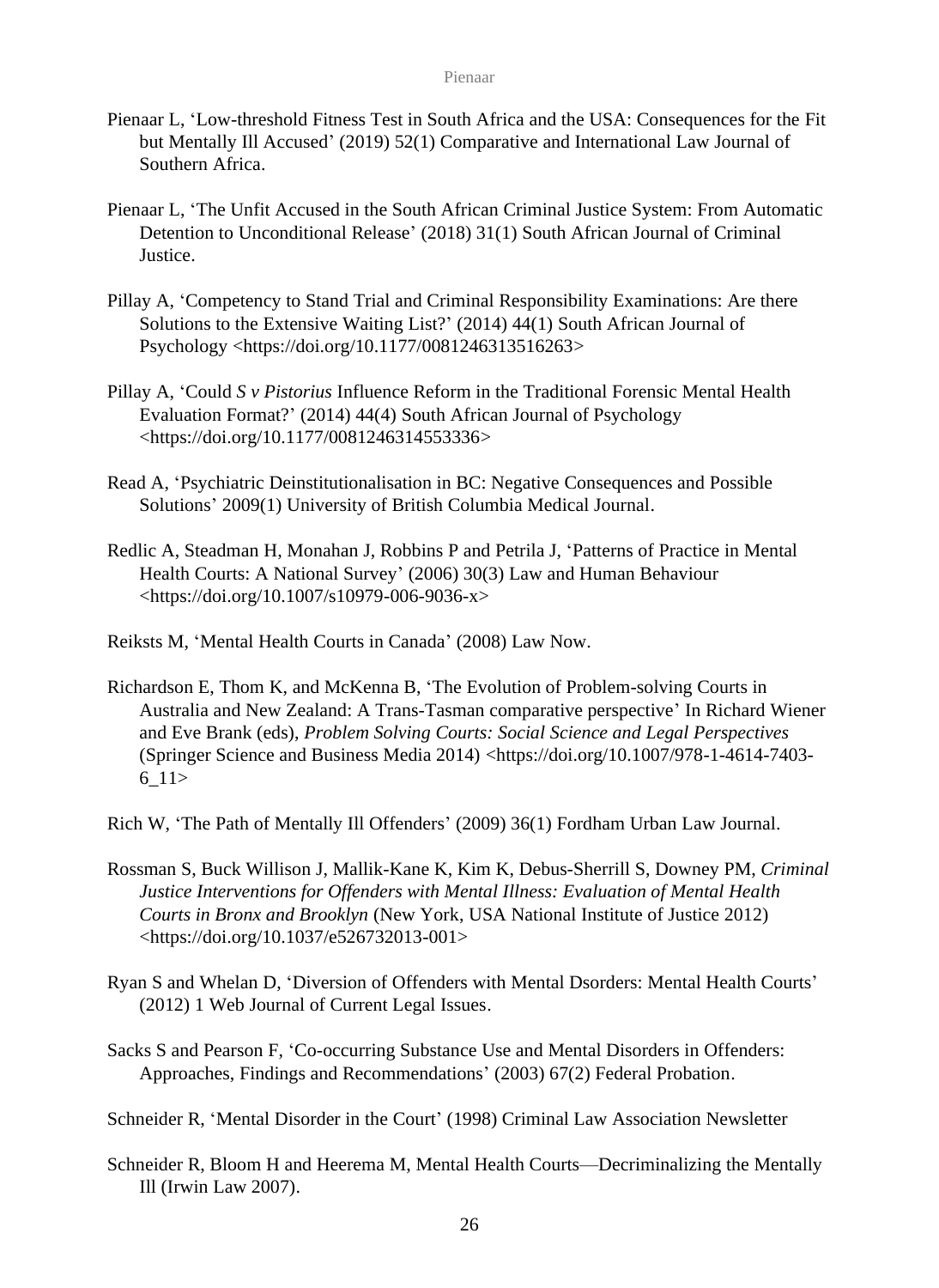- Pienaar L, 'Low-threshold Fitness Test in South Africa and the USA: Consequences for the Fit but Mentally Ill Accused' (2019) 52(1) Comparative and International Law Journal of Southern Africa.
- Pienaar L, 'The Unfit Accused in the South African Criminal Justice System: From Automatic Detention to Unconditional Release' (2018) 31(1) South African Journal of Criminal Justice.
- Pillay A, 'Competency to Stand Trial and Criminal Responsibility Examinations: Are there Solutions to the Extensive Waiting List?' (2014) 44(1) South African Journal of Psychology <https://doi.org/10.1177/0081246313516263>
- Pillay A, 'Could *S v Pistorius* Influence Reform in the Traditional Forensic Mental Health Evaluation Format?' (2014) 44(4) South African Journal of Psychology <https://doi.org/10.1177/0081246314553336>
- Read A, 'Psychiatric Deinstitutionalisation in BC: Negative Consequences and Possible Solutions' 2009(1) University of British Columbia Medical Journal.
- Redlic A, Steadman H, Monahan J, Robbins P and Petrila J, 'Patterns of Practice in Mental Health Courts: A National Survey' (2006) 30(3) Law and Human Behaviour <https://doi.org/10.1007/s10979-006-9036-x>
- Reiksts M, 'Mental Health Courts in Canada' (2008) Law Now.
- Richardson E, Thom K, and McKenna B, 'The Evolution of Problem-solving Courts in Australia and New Zealand: A Trans-Tasman comparative perspective' In Richard Wiener and Eve Brank (eds), *Problem Solving Courts: Social Science and Legal Perspectives* (Springer Science and Business Media 2014) <https://doi.org/10.1007/978-1-4614-7403- 6\_11>
- Rich W, 'The Path of Mentally Ill Offenders' (2009) 36(1) Fordham Urban Law Journal.
- Rossman S, Buck Willison J, Mallik-Kane K, Kim K, Debus-Sherrill S, Downey PM, *Criminal Justice Interventions for Offenders with Mental Illness: Evaluation of Mental Health Courts in Bronx and Brooklyn* (New York, USA National Institute of Justice 2012) <https://doi.org/10.1037/e526732013-001>
- Ryan S and Whelan D, 'Diversion of Offenders with Mental Dsorders: Mental Health Courts' (2012) 1 Web Journal of Current Legal Issues.
- Sacks S and Pearson F, 'Co-occurring Substance Use and Mental Disorders in Offenders: Approaches, Findings and Recommendations' (2003) 67(2) Federal Probation.

Schneider R, 'Mental Disorder in the Court' (1998) Criminal Law Association Newsletter

Schneider R, Bloom H and Heerema M, Mental Health Courts—Decriminalizing the Mentally Ill (Irwin Law 2007).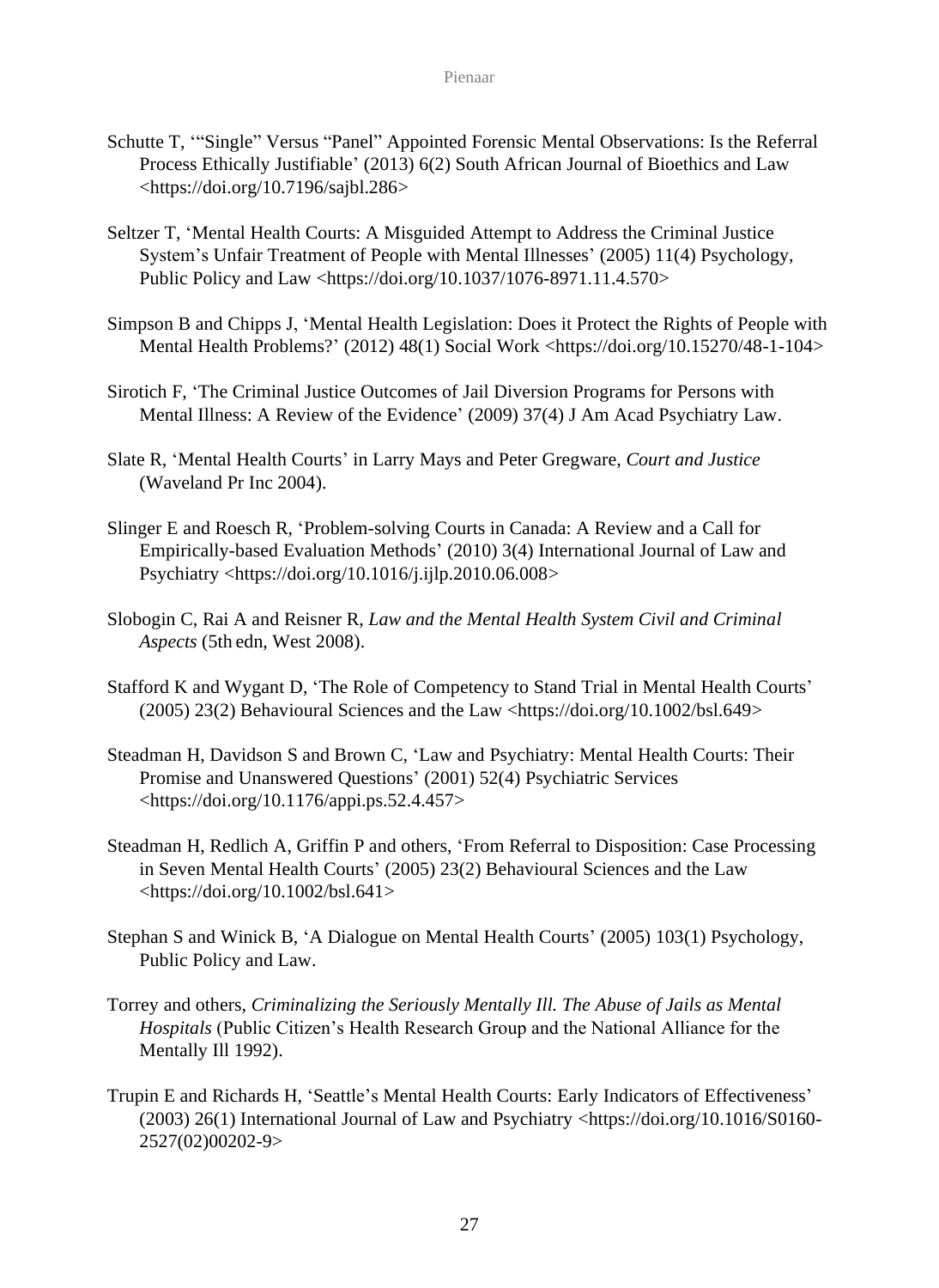- Schutte T, '"Single" Versus "Panel" Appointed Forensic Mental Observations: Is the Referral Process Ethically Justifiable' (2013) 6(2) South African Journal of Bioethics and Law <https://doi.org/10.7196/sajbl.286>
- Seltzer T, 'Mental Health Courts: A Misguided Attempt to Address the Criminal Justice System's Unfair Treatment of People with Mental Illnesses' (2005) 11(4) Psychology, Public Policy and Law <https://doi.org/10.1037/1076-8971.11.4.570>
- Simpson B and Chipps J, 'Mental Health Legislation: Does it Protect the Rights of People with Mental Health Problems?' (2012) 48(1) Social Work <https://doi.org/10.15270/48-1-104>
- Sirotich F, 'The Criminal Justice Outcomes of Jail Diversion Programs for Persons with Mental Illness: A Review of the Evidence' (2009) 37(4) J Am Acad Psychiatry Law.
- Slate R, 'Mental Health Courts' in Larry Mays and Peter Gregware, *Court and Justice* (Waveland Pr Inc 2004).
- Slinger E and Roesch R, 'Problem-solving Courts in Canada: A Review and a Call for Empirically-based Evaluation Methods' (2010) 3(4) International Journal of Law and Psychiatry <https://doi.org/10.1016/j.ijlp.2010.06.008>
- Slobogin C, Rai A and Reisner R, *Law and the Mental Health System Civil and Criminal Aspects* (5th edn, West 2008).
- Stafford K and Wygant D, 'The Role of Competency to Stand Trial in Mental Health Courts'  $(2005)$  23(2) Behavioural Sciences and the Law <https://doi.org/10.1002/bsl.649>
- Steadman H, Davidson S and Brown C, 'Law and Psychiatry: Mental Health Courts: Their Promise and Unanswered Questions' (2001) 52(4) Psychiatric Services <https://doi.org/10.1176/appi.ps.52.4.457>
- Steadman H, Redlich A, Griffin P and others, 'From Referral to Disposition: Case Processing in Seven Mental Health Courts' (2005) 23(2) Behavioural Sciences and the Law <https://doi.org/10.1002/bsl.641>
- Stephan S and Winick B, 'A Dialogue on Mental Health Courts' (2005) 103(1) Psychology, Public Policy and Law.
- Torrey and others, *Criminalizing the Seriously Mentally Ill. The Abuse of Jails as Mental Hospitals* (Public Citizen's Health Research Group and the National Alliance for the Mentally Ill 1992).
- Trupin E and Richards H, 'Seattle's Mental Health Courts: Early Indicators of Effectiveness' (2003) 26(1) International Journal of Law and Psychiatry <https://doi.org/10.1016/S0160- 2527(02)00202-9>